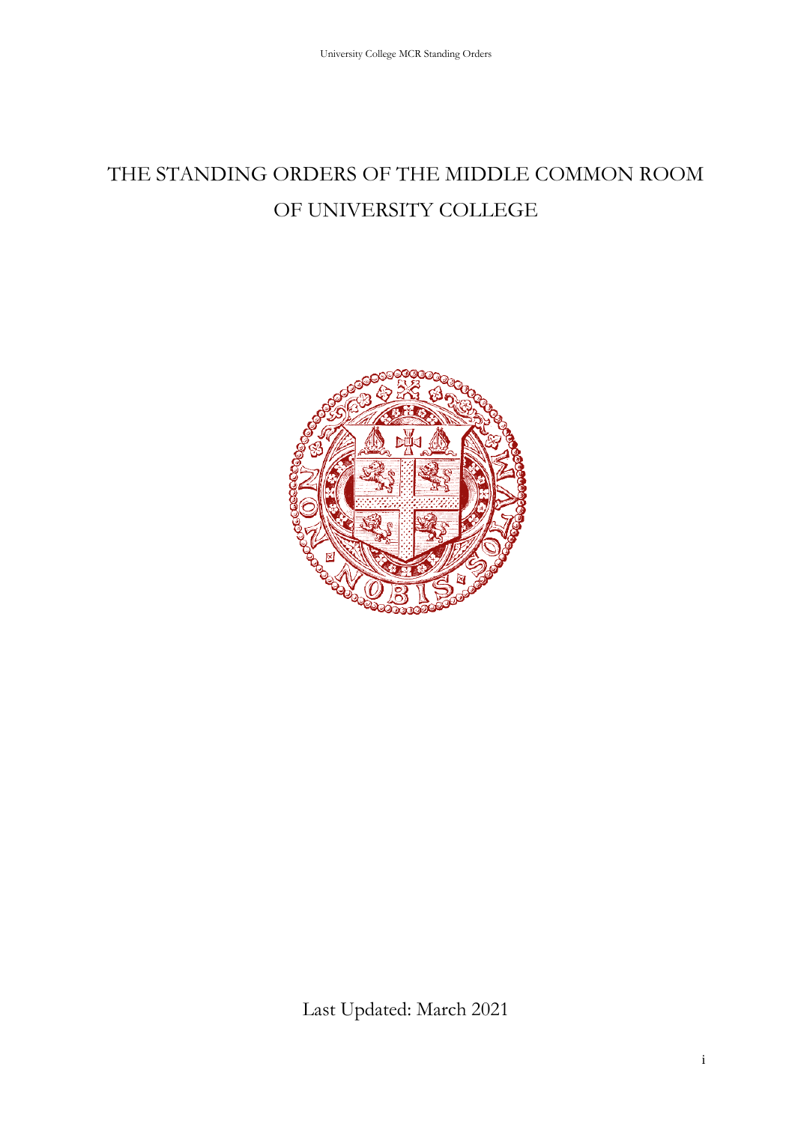# THE STANDING ORDERS OF THE MIDDLE COMMON ROOM OF UNIVERSITY COLLEGE



Last Updated: March 2021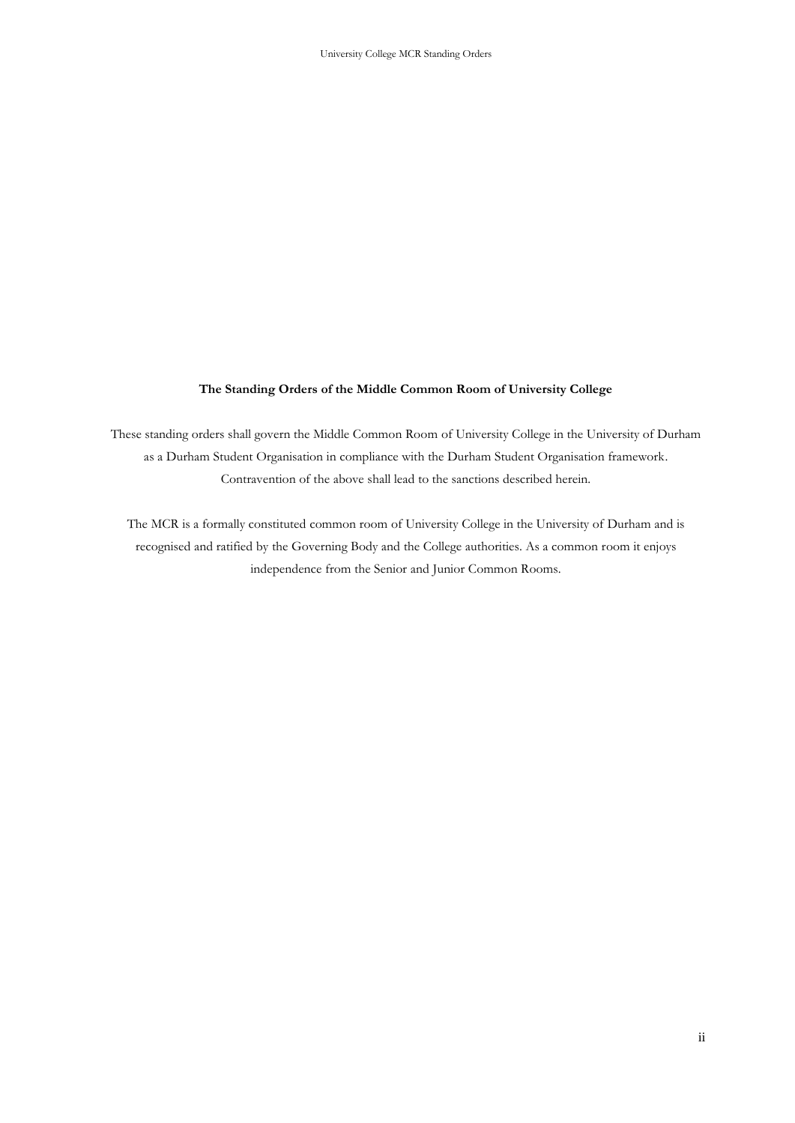#### **The Standing Orders of the Middle Common Room of University College**

These standing orders shall govern the Middle Common Room of University College in the University of Durham as a Durham Student Organisation in compliance with the Durham Student Organisation framework. Contravention of the above shall lead to the sanctions described herein.

The MCR is a formally constituted common room of University College in the University of Durham and is recognised and ratified by the Governing Body and the College authorities. As a common room it enjoys independence from the Senior and Junior Common Rooms.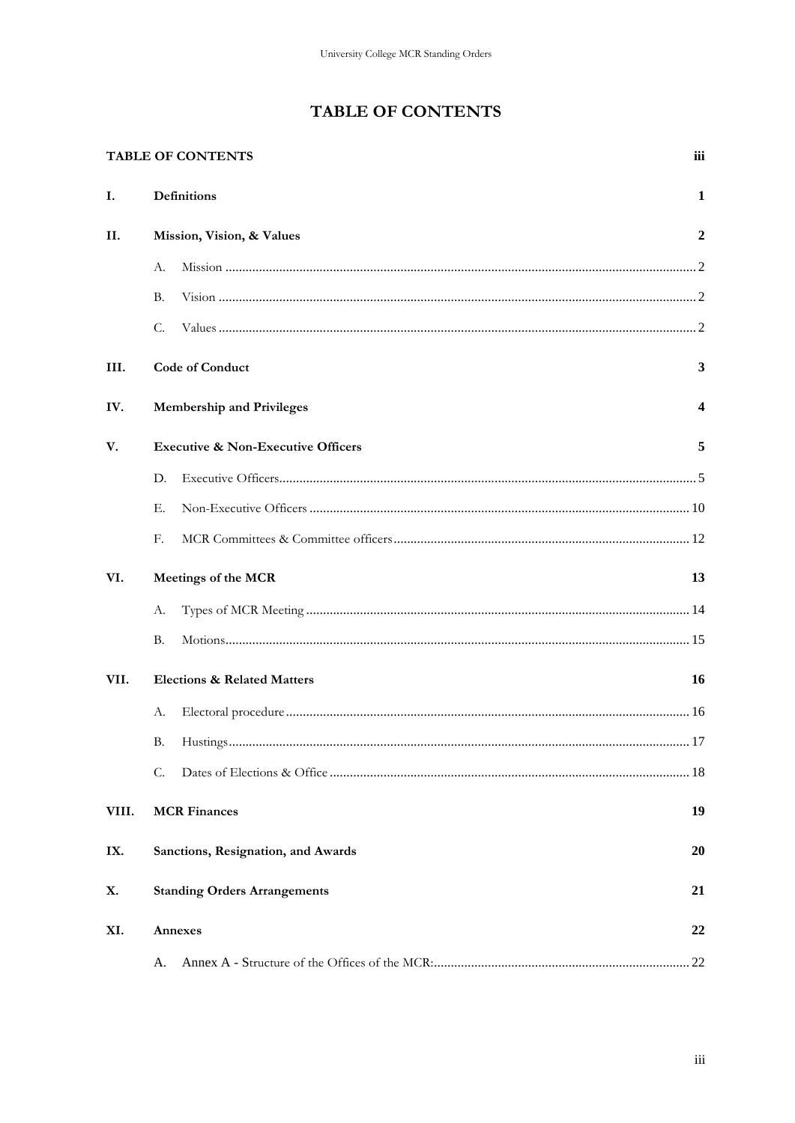# **TABLE OF CONTENTS**

<span id="page-2-0"></span>

|       | <b>TABLE OF CONTENTS</b>                      | iii |
|-------|-----------------------------------------------|-----|
| Ι.    | Definitions                                   | 1   |
| П.    | Mission, Vision, & Values                     | 2   |
|       | А.                                            |     |
|       | В.                                            |     |
|       | C.                                            |     |
| III.  | <b>Code of Conduct</b>                        | 3   |
| IV.   | <b>Membership and Privileges</b>              | 4   |
| V.    | <b>Executive &amp; Non-Executive Officers</b> | 5   |
|       | D.                                            |     |
|       | Е.                                            |     |
|       | F.                                            |     |
| VI.   | Meetings of the MCR                           | 13  |
|       | А.                                            |     |
|       | В.                                            |     |
| VII.  | <b>Elections &amp; Related Matters</b>        | 16  |
|       | А.                                            |     |
|       |                                               | .17 |
|       | C.                                            |     |
| VIII. | <b>MCR Finances</b>                           | 19  |
| IX.   | Sanctions, Resignation, and Awards            | 20  |
| Х.    | <b>Standing Orders Arrangements</b>           | 21  |
| XI.   | Annexes                                       | 22  |
|       | А.                                            |     |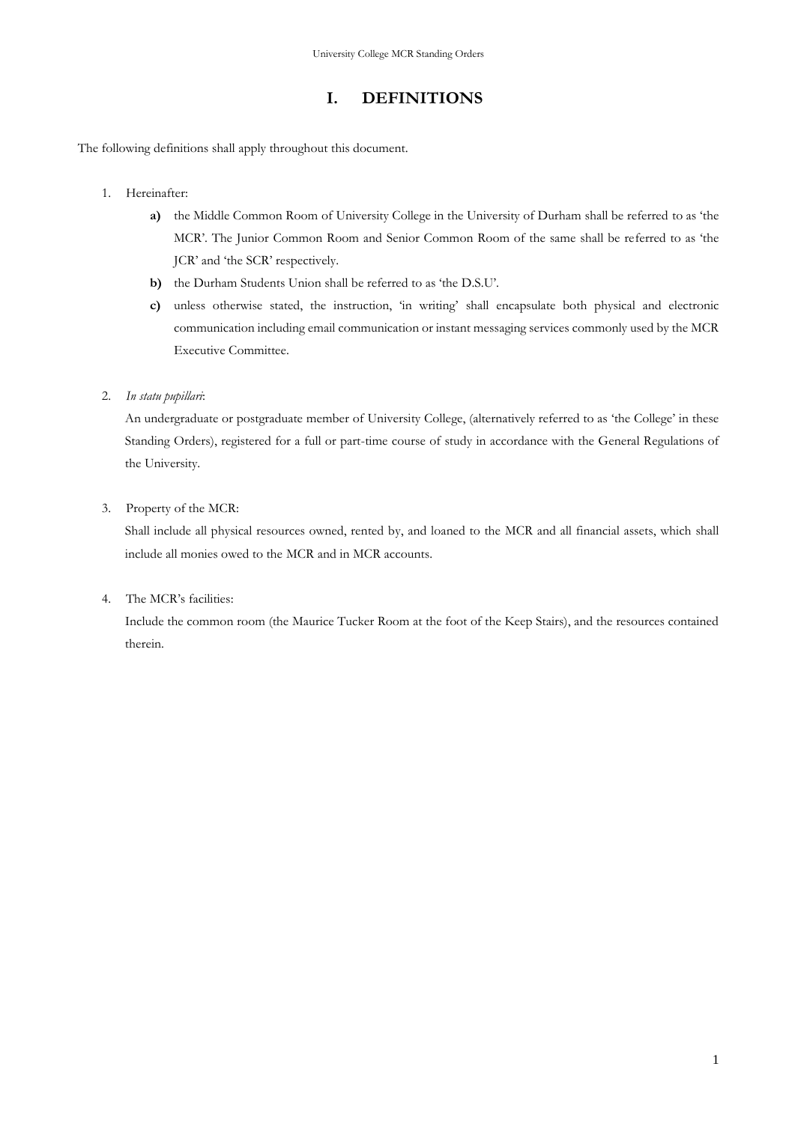## **I. DEFINITIONS**

<span id="page-4-0"></span>The following definitions shall apply throughout this document.

- 1. Hereinafter:
	- **a)** the Middle Common Room of University College in the University of Durham shall be referred to as 'the MCR'. The Junior Common Room and Senior Common Room of the same shall be referred to as 'the JCR' and 'the SCR' respectively.
	- **b)** the Durham Students Union shall be referred to as 'the D.S.U'.
	- **c)** unless otherwise stated, the instruction, 'in writing' shall encapsulate both physical and electronic communication including email communication or instant messaging services commonly used by the MCR Executive Committee.
- 2. *In statu pupillari*:

An undergraduate or postgraduate member of University College, (alternatively referred to as 'the College' in these Standing Orders), registered for a full or part-time course of study in accordance with the General Regulations of the University.

3. Property of the MCR:

Shall include all physical resources owned, rented by, and loaned to the MCR and all financial assets, which shall include all monies owed to the MCR and in MCR accounts.

4. The MCR's facilities:

Include the common room (the Maurice Tucker Room at the foot of the Keep Stairs), and the resources contained therein.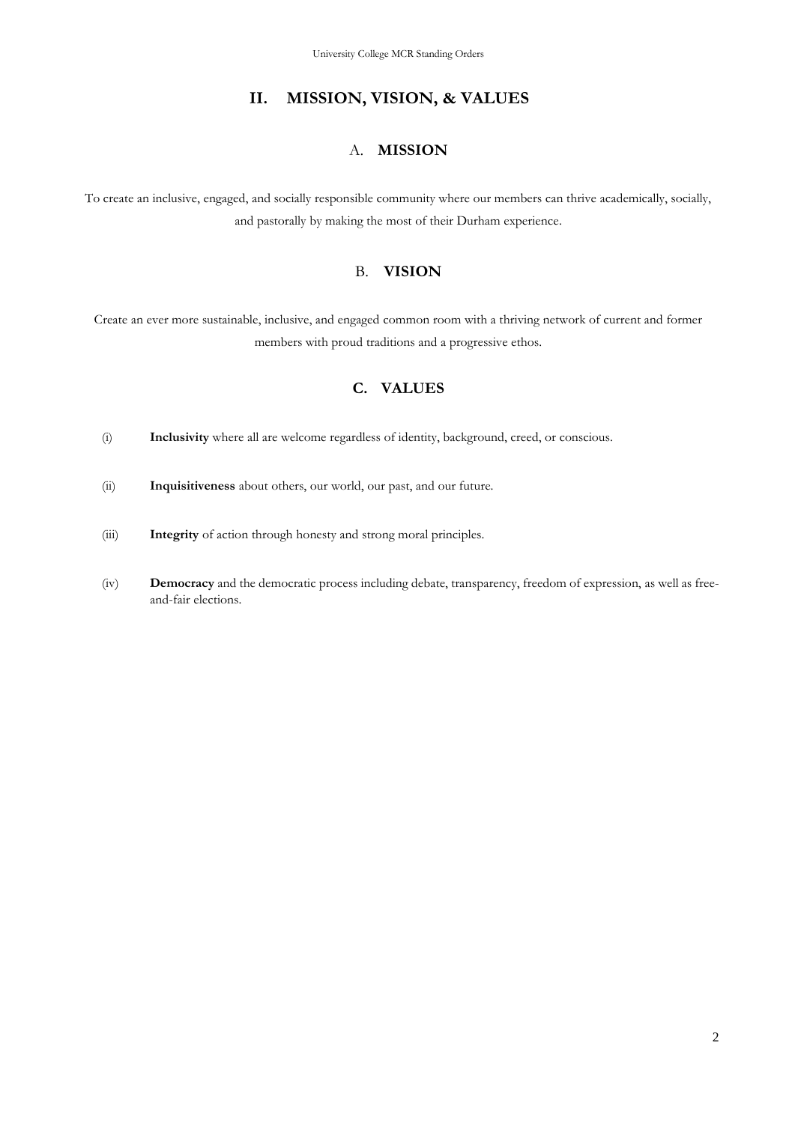## **II. MISSION, VISION, & VALUES**

#### A. **MISSION**

<span id="page-5-1"></span><span id="page-5-0"></span>To create an inclusive, engaged, and socially responsible community where our members can thrive academically, socially, and pastorally by making the most of their Durham experience.

## B. **VISION**

<span id="page-5-2"></span>Create an ever more sustainable, inclusive, and engaged common room with a thriving network of current and former members with proud traditions and a progressive ethos.

## **C. VALUES**

- <span id="page-5-3"></span>(i) **Inclusivity** where all are welcome regardless of identity, background, creed, or conscious.
- (ii) **Inquisitiveness** about others, our world, our past, and our future.
- (iii) **Integrity** of action through honesty and strong moral principles.
- (iv) **Democracy** and the democratic process including debate, transparency, freedom of expression, as well as freeand-fair elections.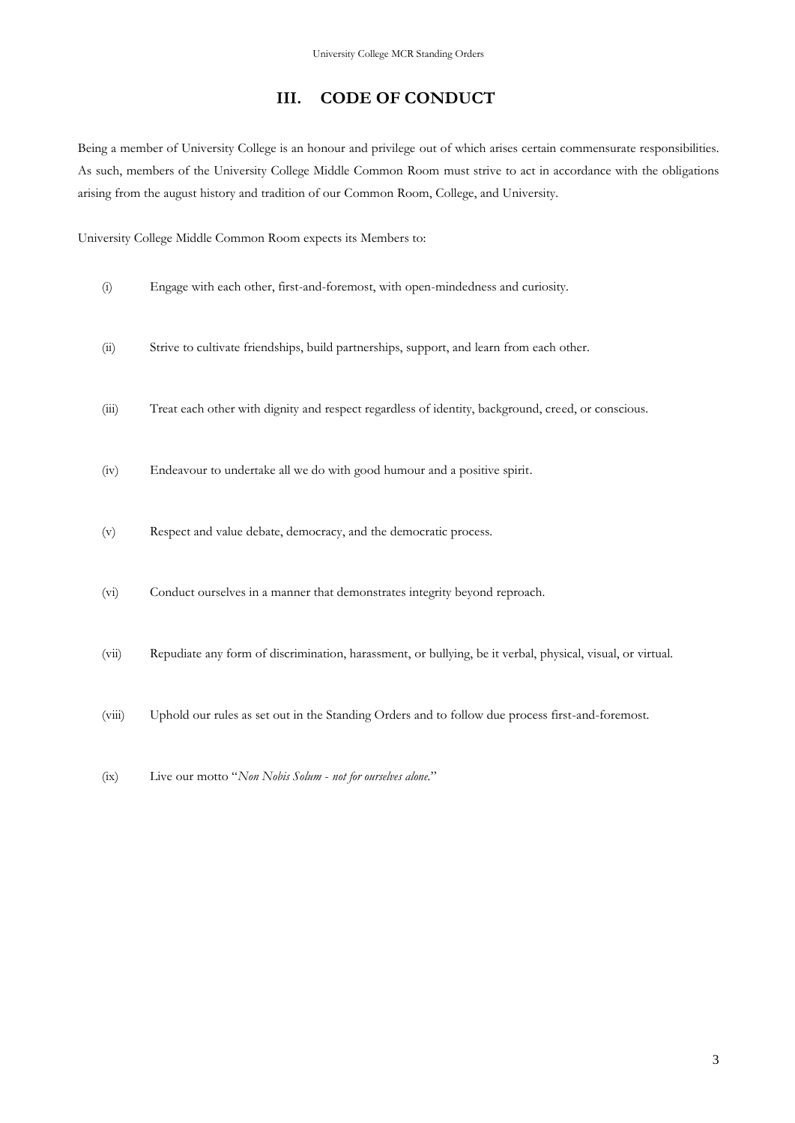## **III. CODE OF CONDUCT**

<span id="page-6-0"></span>Being a member of University College is an honour and privilege out of which arises certain commensurate responsibilities. As such, members of the University College Middle Common Room must strive to act in accordance with the obligations arising from the august history and tradition of our Common Room, College, and University.

University College Middle Common Room expects its Members to:

- (i) Engage with each other, first-and-foremost, with open-mindedness and curiosity.
- (ii) Strive to cultivate friendships, build partnerships, support, and learn from each other.
- (iii) Treat each other with dignity and respect regardless of identity, background, creed, or conscious.
- (iv) Endeavour to undertake all we do with good humour and a positive spirit.
- (v) Respect and value debate, democracy, and the democratic process.
- (vi) Conduct ourselves in a manner that demonstrates integrity beyond reproach.
- (vii) Repudiate any form of discrimination, harassment, or bullying, be it verbal, physical, visual, or virtual.
- (viii) Uphold our rules as set out in the Standing Orders and to follow due process first-and-foremost.
- (ix) Live our motto "*Non Nobis Solum not for ourselves alone.*"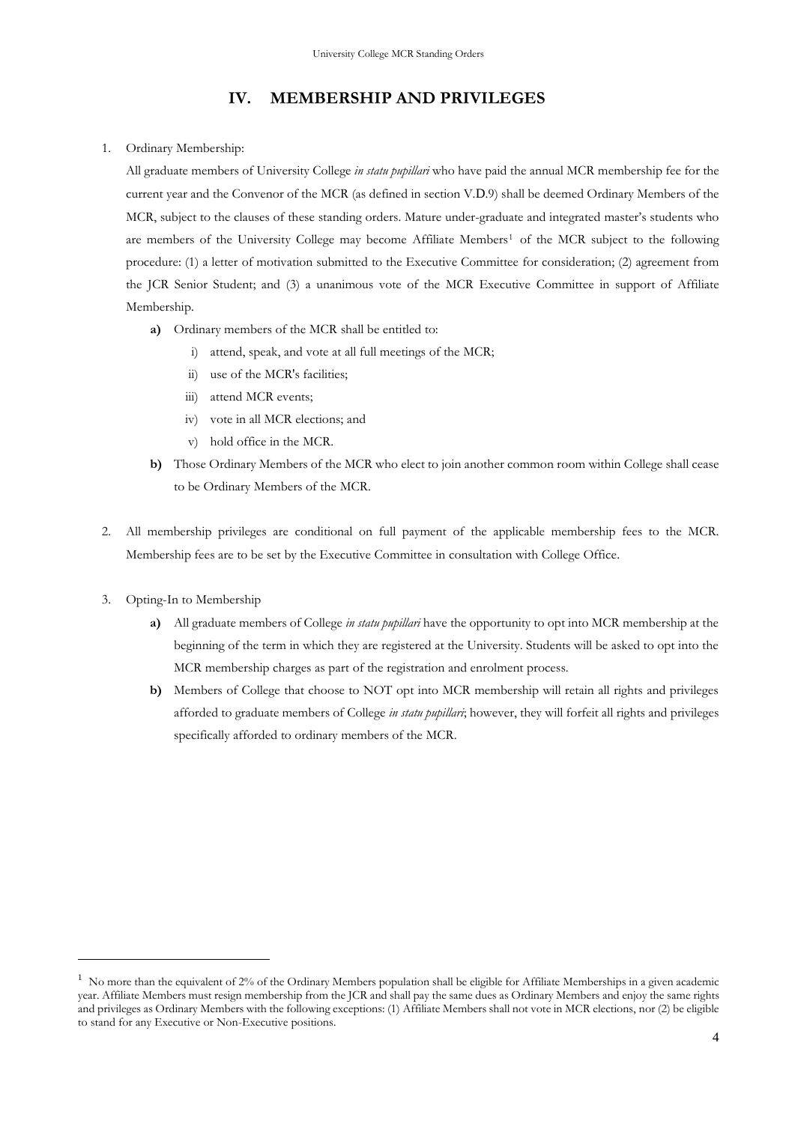## **IV. MEMBERSHIP AND PRIVILEGES**

#### <span id="page-7-0"></span>1. Ordinary Membership:

All graduate members of University College *in statu pupillari* who have paid the annual MCR membership fee for the current year and the Convenor of the MCR (as defined in section [V.](#page-8-0)[D](#page-8-1).9) shall be deemed Ordinary Members of the MCR, subject to the clauses of these standing orders. Mature under-graduate and integrated master's students who are members of the University College may become Affiliate Members<sup>1</sup> of the MCR subject to the following procedure: (1) a letter of motivation submitted to the Executive Committee for consideration; (2) agreement from the JCR Senior Student; and (3) a unanimous vote of the MCR Executive Committee in support of Affiliate Membership.

- **a)** Ordinary members of the MCR shall be entitled to:
	- i) attend, speak, and vote at all full meetings of the MCR;
	- ii) use of the MCR's facilities;
	- iii) attend MCR events;
	- iv) vote in all MCR elections; and
	- v) hold office in the MCR.
- **b)** Those Ordinary Members of the MCR who elect to join another common room within College shall cease to be Ordinary Members of the MCR.
- 2. All membership privileges are conditional on full payment of the applicable membership fees to the MCR. Membership fees are to be set by the Executive Committee in consultation with College Office.
- 3. Opting-In to Membership
	- **a)** All graduate members of College *in statu pupillari* have the opportunity to opt into MCR membership at the beginning of the term in which they are registered at the University. Students will be asked to opt into the MCR membership charges as part of the registration and enrolment process.
	- **b)** Members of College that choose to NOT opt into MCR membership will retain all rights and privileges afforded to graduate members of College *in statu pupillari*; however, they will forfeit all rights and privileges specifically afforded to ordinary members of the MCR.

 $<sup>1</sup>$  No more than the equivalent of 2% of the Ordinary Members population shall be eligible for Affiliate Memberships in a given academic</sup> year. Affiliate Members must resign membership from the JCR and shall pay the same dues as Ordinary Members and enjoy the same rights and privileges as Ordinary Members with the following exceptions: (1) Affiliate Members shall not vote in MCR elections, nor (2) be eligible to stand for any Executive or Non-Executive positions.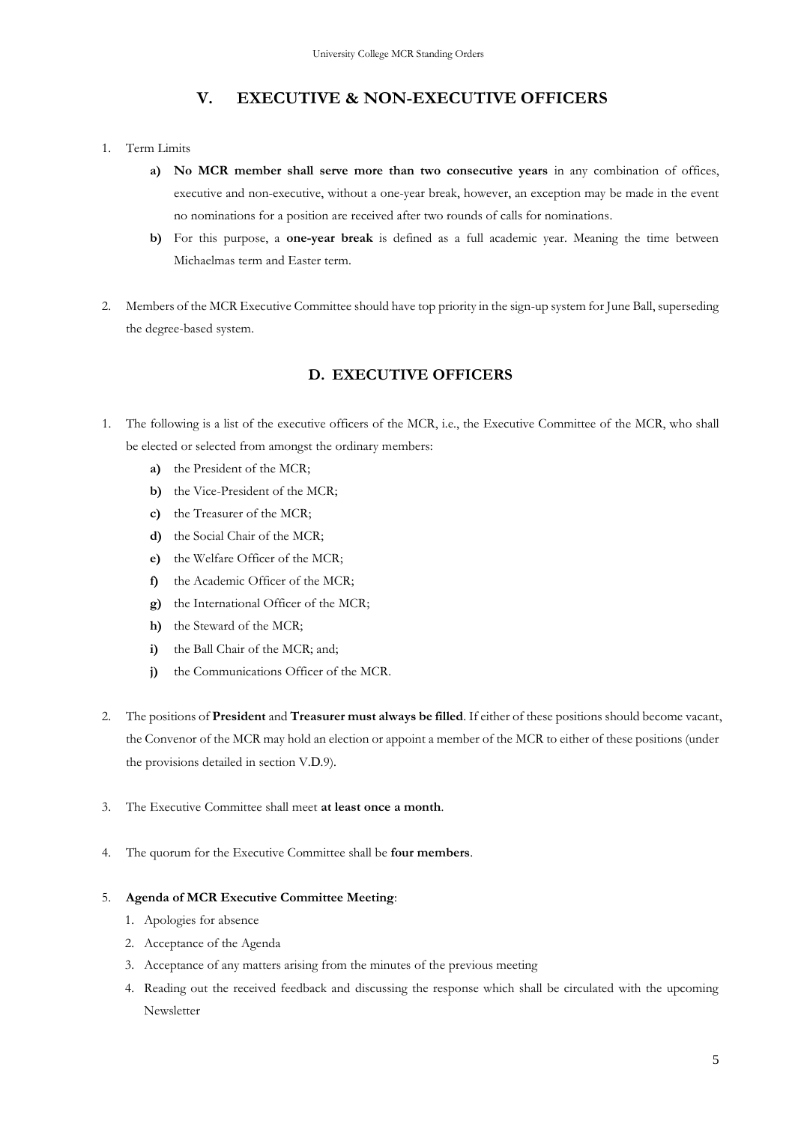## **V. EXECUTIVE & NON-EXECUTIVE OFFICERS**

- <span id="page-8-0"></span>1. Term Limits
	- **a) No MCR member shall serve more than two consecutive years** in any combination of offices, executive and non-executive, without a one-year break, however, an exception may be made in the event no nominations for a position are received after two rounds of calls for nominations.
	- **b)** For this purpose, a **one-year break** is defined as a full academic year. Meaning the time between Michaelmas term and Easter term.
- 2. Members of the MCR Executive Committee should have top priority in the sign-up system for June Ball, superseding the degree-based system.

## **D. EXECUTIVE OFFICERS**

- <span id="page-8-1"></span>1. The following is a list of the executive officers of the MCR, i.e., the Executive Committee of the MCR, who shall be elected or selected from amongst the ordinary members:
	- **a)** the President of the MCR;
	- **b)** the Vice-President of the MCR;
	- **c)** the Treasurer of the MCR;
	- **d)** the Social Chair of the MCR;
	- **e)** the Welfare Officer of the MCR;
	- **f)** the Academic Officer of the MCR;
	- **g)** the International Officer of the MCR;
	- **h)** the Steward of the MCR;
	- **i)** the Ball Chair of the MCR; and;
	- **j)** the Communications Officer of the MCR.
- 2. The positions of **President** and **Treasurer must always be filled**. If either of these positions should become vacant, the Convenor of the MCR may hold an election or appoint a member of the MCR to either of these positions (under the provisions detailed in section [V.](#page-8-0)[D](#page-8-1).9).
- 3. The Executive Committee shall meet **at least once a month**.
- 4. The quorum for the Executive Committee shall be **four members**.

#### 5. **Agenda of MCR Executive Committee Meeting**:

- 1. Apologies for absence
- 2. Acceptance of the Agenda
- 3. Acceptance of any matters arising from the minutes of the previous meeting
- 4. Reading out the received feedback and discussing the response which shall be circulated with the upcoming Newsletter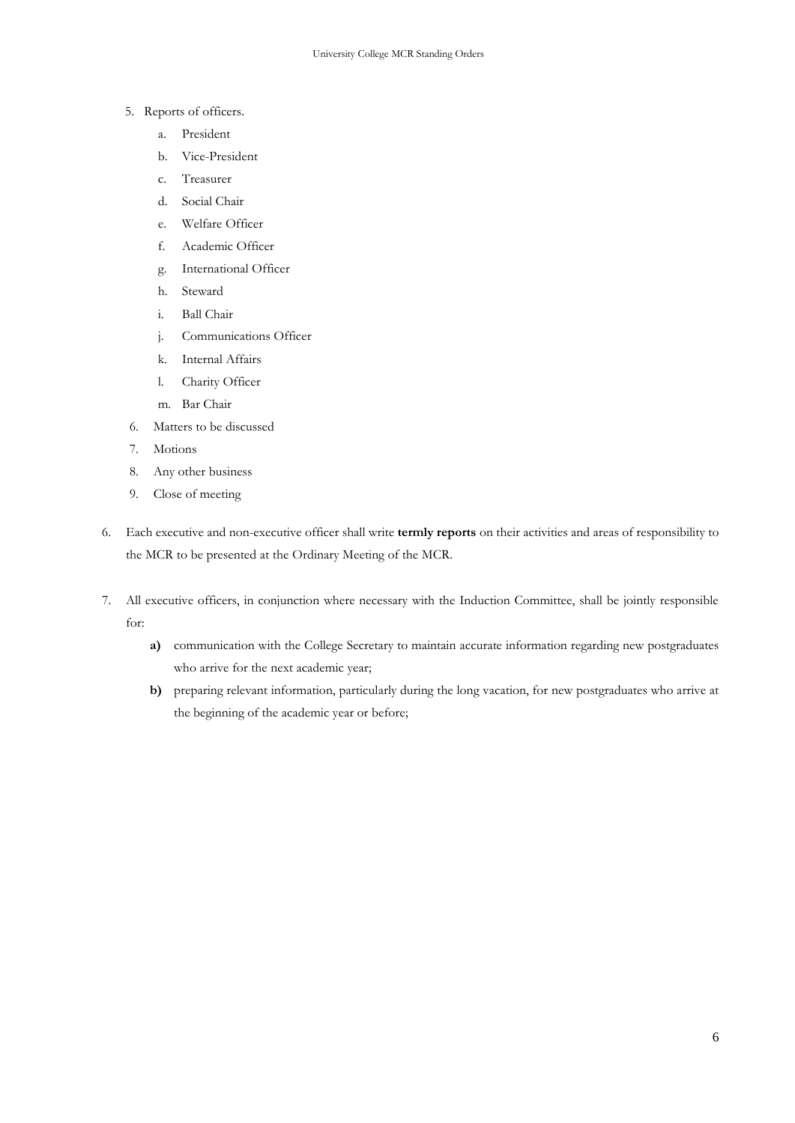- 5. Reports of officers.
	- a. President
	- b. Vice-President
	- c. Treasurer
	- d. Social Chair
	- e. Welfare Officer
	- f. Academic Officer
	- g. International Officer
	- h. Steward
	- i. Ball Chair
	- j. Communications Officer
	- k. Internal Affairs
	- l. Charity Officer
	- m. Bar Chair
- 6. Matters to be discussed
- 7. Motions
- 8. Any other business
- 9. Close of meeting
- 6. Each executive and non-executive officer shall write **termly reports** on their activities and areas of responsibility to the MCR to be presented at the Ordinary Meeting of the MCR.
- 7. All executive officers, in conjunction where necessary with the Induction Committee, shall be jointly responsible for:
	- **a)** communication with the College Secretary to maintain accurate information regarding new postgraduates who arrive for the next academic year;
	- **b)** preparing relevant information, particularly during the long vacation, for new postgraduates who arrive at the beginning of the academic year or before;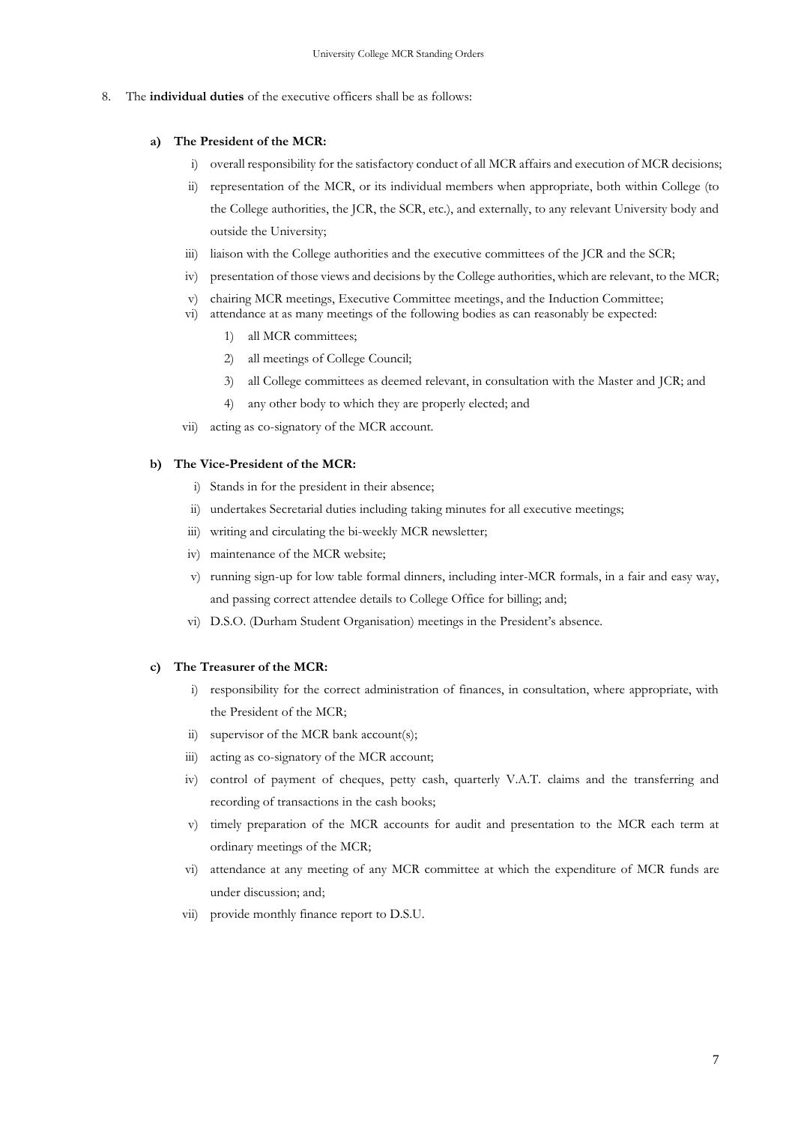8. The **individual duties** of the executive officers shall be as follows:

#### **a) The President of the MCR:**

- i) overall responsibility for the satisfactory conduct of all MCR affairs and execution of MCR decisions;
- ii) representation of the MCR, or its individual members when appropriate, both within College (to the College authorities, the JCR, the SCR, etc.), and externally, to any relevant University body and outside the University;
- iii) liaison with the College authorities and the executive committees of the JCR and the SCR;
- iv) presentation of those views and decisions by the College authorities, which are relevant, to the MCR;
- v) chairing MCR meetings, Executive Committee meetings, and the Induction Committee;
- vi) attendance at as many meetings of the following bodies as can reasonably be expected:
	- 1) all MCR committees;
	- 2) all meetings of College Council;
	- 3) all College committees as deemed relevant, in consultation with the Master and JCR; and
	- 4) any other body to which they are properly elected; and
- vii) acting as co-signatory of the MCR account.

#### **b) The Vice-President of the MCR:**

- i) Stands in for the president in their absence;
- ii) undertakes Secretarial duties including taking minutes for all executive meetings;
- iii) writing and circulating the bi-weekly MCR newsletter;
- iv) maintenance of the MCR website;
- v) running sign-up for low table formal dinners, including inter-MCR formals, in a fair and easy way, and passing correct attendee details to College Office for billing; and;
- vi) D.S.O. (Durham Student Organisation) meetings in the President's absence.

#### **c) The Treasurer of the MCR:**

- i) responsibility for the correct administration of finances, in consultation, where appropriate, with the President of the MCR;
- ii) supervisor of the MCR bank account(s);
- iii) acting as co-signatory of the MCR account;
- iv) control of payment of cheques, petty cash, quarterly V.A.T. claims and the transferring and recording of transactions in the cash books;
- v) timely preparation of the MCR accounts for audit and presentation to the MCR each term at ordinary meetings of the MCR;
- vi) attendance at any meeting of any MCR committee at which the expenditure of MCR funds are under discussion; and;
- vii) provide monthly finance report to D.S.U.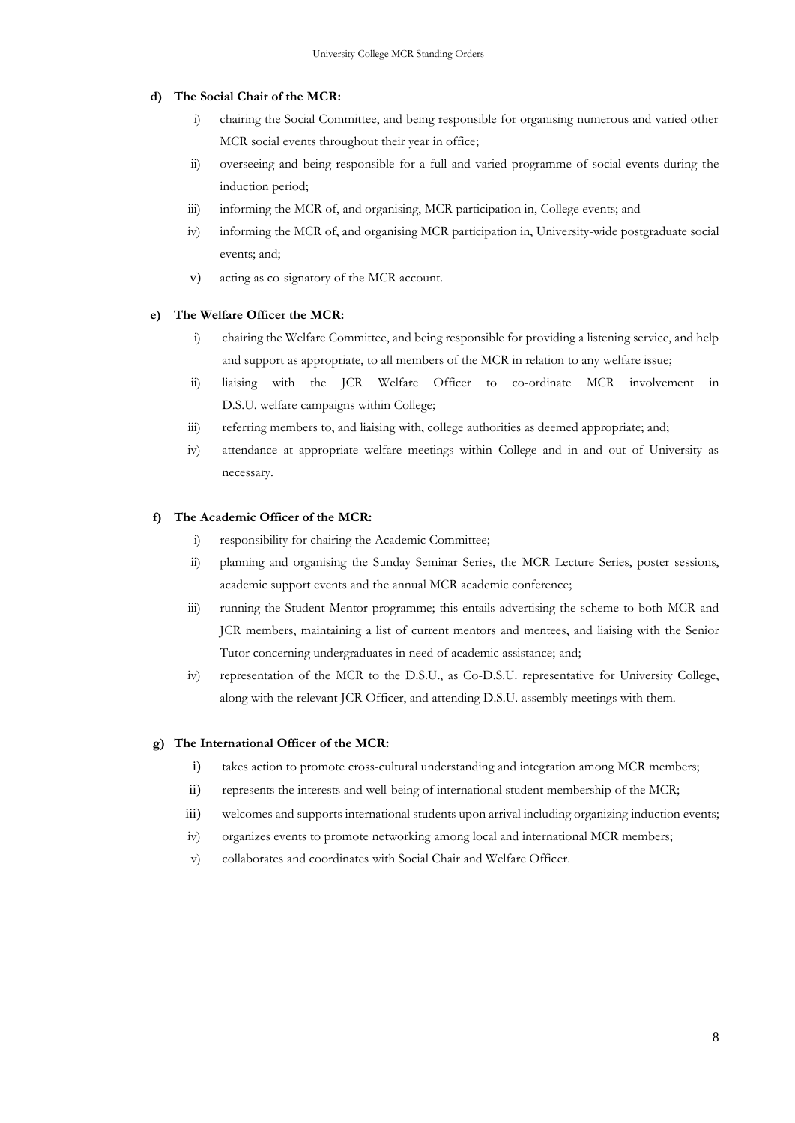#### **d) The Social Chair of the MCR:**

- i) chairing the Social Committee, and being responsible for organising numerous and varied other MCR social events throughout their year in office;
- ii) overseeing and being responsible for a full and varied programme of social events during the induction period;
- iii) informing the MCR of, and organising, MCR participation in, College events; and
- iv) informing the MCR of, and organising MCR participation in, University-wide postgraduate social events; and;
- v) acting as co-signatory of the MCR account.

#### **e) The Welfare Officer the MCR:**

- i) chairing the Welfare Committee, and being responsible for providing a listening service, and help and support as appropriate, to all members of the MCR in relation to any welfare issue;
- ii) liaising with the JCR Welfare Officer to co-ordinate MCR involvement in D.S.U. welfare campaigns within College;
- iii) referring members to, and liaising with, college authorities as deemed appropriate; and;
- iv) attendance at appropriate welfare meetings within College and in and out of University as necessary.

#### **f) The Academic Officer of the MCR:**

- i) responsibility for chairing the Academic Committee;
- ii) planning and organising the Sunday Seminar Series, the MCR Lecture Series, poster sessions, academic support events and the annual MCR academic conference;
- iii) running the Student Mentor programme; this entails advertising the scheme to both MCR and JCR members, maintaining a list of current mentors and mentees, and liaising with the Senior Tutor concerning undergraduates in need of academic assistance; and;
- iv) representation of the MCR to the D.S.U., as Co-D.S.U. representative for University College, along with the relevant JCR Officer, and attending D.S.U. assembly meetings with them.

#### **g) The International Officer of the MCR:**

- i) takes action to promote cross-cultural understanding and integration among MCR members;
- ii) represents the interests and well-being of international student membership of the MCR;
- iii) welcomes and supports international students upon arrival including organizing induction events;
- iv) organizes events to promote networking among local and international MCR members;
- v) collaborates and coordinates with Social Chair and Welfare Officer.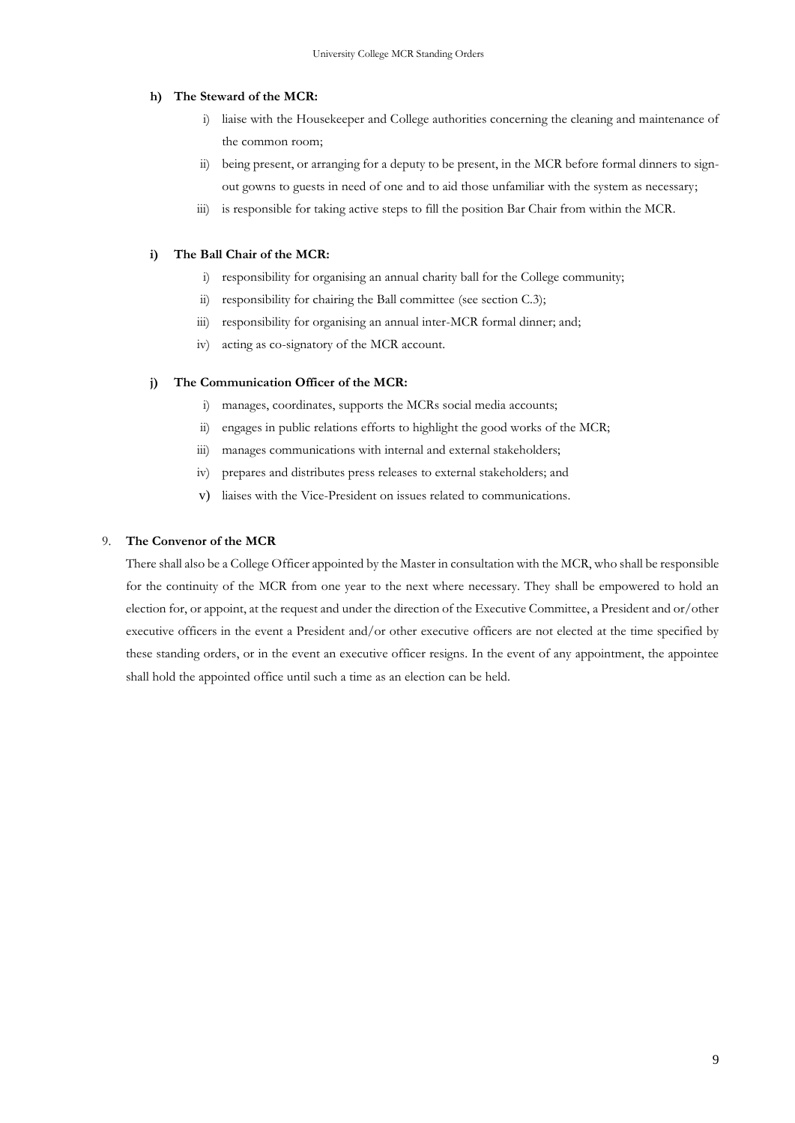#### **h) The Steward of the MCR:**

- i) liaise with the Housekeeper and College authorities concerning the cleaning and maintenance of the common room;
- ii) being present, or arranging for a deputy to be present, in the MCR before formal dinners to signout gowns to guests in need of one and to aid those unfamiliar with the system as necessary;
- iii) is responsible for taking active steps to fill the position Bar Chair from within the MCR.

#### **i) The Ball Chair of the MCR:**

- i) responsibility for organising an annual charity ball for the College community;
- ii) responsibility for chairing the Ball committee (see section C.3);
- iii) responsibility for organising an annual inter-MCR formal dinner; and;
- iv) acting as co-signatory of the MCR account.

#### **j) The Communication Officer of the MCR:**

- i) manages, coordinates, supports the MCRs social media accounts;
- ii) engages in public relations efforts to highlight the good works of the MCR;
- iii) manages communications with internal and external stakeholders;
- iv) prepares and distributes press releases to external stakeholders; and
- v) liaises with the Vice-President on issues related to communications.

#### 9. **The Convenor of the MCR**

There shall also be a College Officer appointed by the Master in consultation with the MCR, who shall be responsible for the continuity of the MCR from one year to the next where necessary. They shall be empowered to hold an election for, or appoint, at the request and under the direction of the Executive Committee, a President and or/other executive officers in the event a President and/or other executive officers are not elected at the time specified by these standing orders, or in the event an executive officer resigns. In the event of any appointment, the appointee shall hold the appointed office until such a time as an election can be held.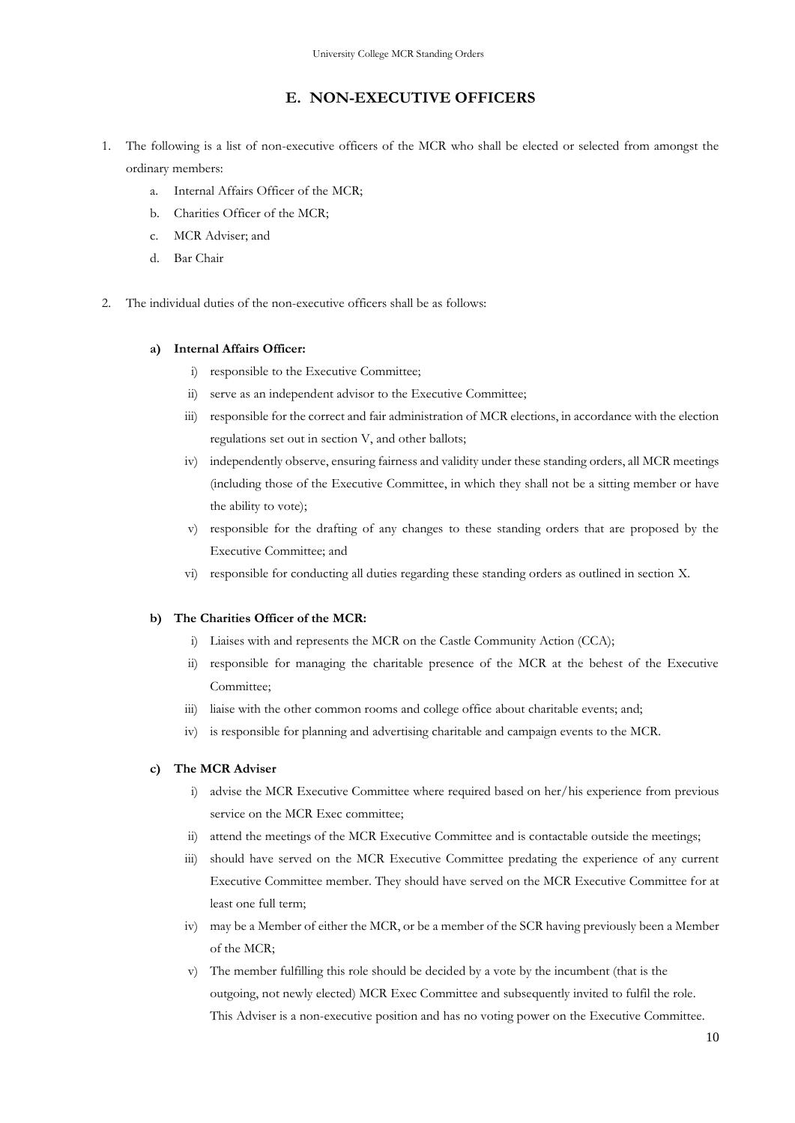## **E. NON-EXECUTIVE OFFICERS**

- <span id="page-13-0"></span>1. The following is a list of non-executive officers of the MCR who shall be elected or selected from amongst the ordinary members:
	- a. Internal Affairs Officer of the MCR;
	- b. Charities Officer of the MCR;
	- c. MCR Adviser; and
	- d. Bar Chair
- 2. The individual duties of the non-executive officers shall be as follows:

#### **a) Internal Affairs Officer:**

- i) responsible to the Executive Committee;
- ii) serve as an independent advisor to the Executive Committee;
- iii) responsible for the correct and fair administration of MCR elections, in accordance with the election regulations set out in section V, and other ballots;
- iv) independently observe, ensuring fairness and validity under these standing orders, all MCR meetings (including those of the Executive Committee, in which they shall not be a sitting member or have the ability to vote);
- v) responsible for the drafting of any changes to these standing orders that are proposed by the Executive Committee; and
- vi) responsible for conducting all duties regarding these standing orders as outlined in section [X.](#page-24-0)

#### **b) The Charities Officer of the MCR:**

- i) Liaises with and represents the MCR on the Castle Community Action (CCA);
- ii) responsible for managing the charitable presence of the MCR at the behest of the Executive Committee;
- iii) liaise with the other common rooms and college office about charitable events; and;
- iv) is responsible for planning and advertising charitable and campaign events to the MCR.

#### **c) The MCR Adviser**

- i) advise the MCR Executive Committee where required based on her/his experience from previous service on the MCR Exec committee;
- ii) attend the meetings of the MCR Executive Committee and is contactable outside the meetings;
- iii) should have served on the MCR Executive Committee predating the experience of any current Executive Committee member. They should have served on the MCR Executive Committee for at least one full term;
- iv) may be a Member of either the MCR, or be a member of the SCR having previously been a Member of the MCR;
- v) The member fulfilling this role should be decided by a vote by the incumbent (that is the outgoing, not newly elected) MCR Exec Committee and subsequently invited to fulfil the role. This Adviser is a non-executive position and has no voting power on the Executive Committee.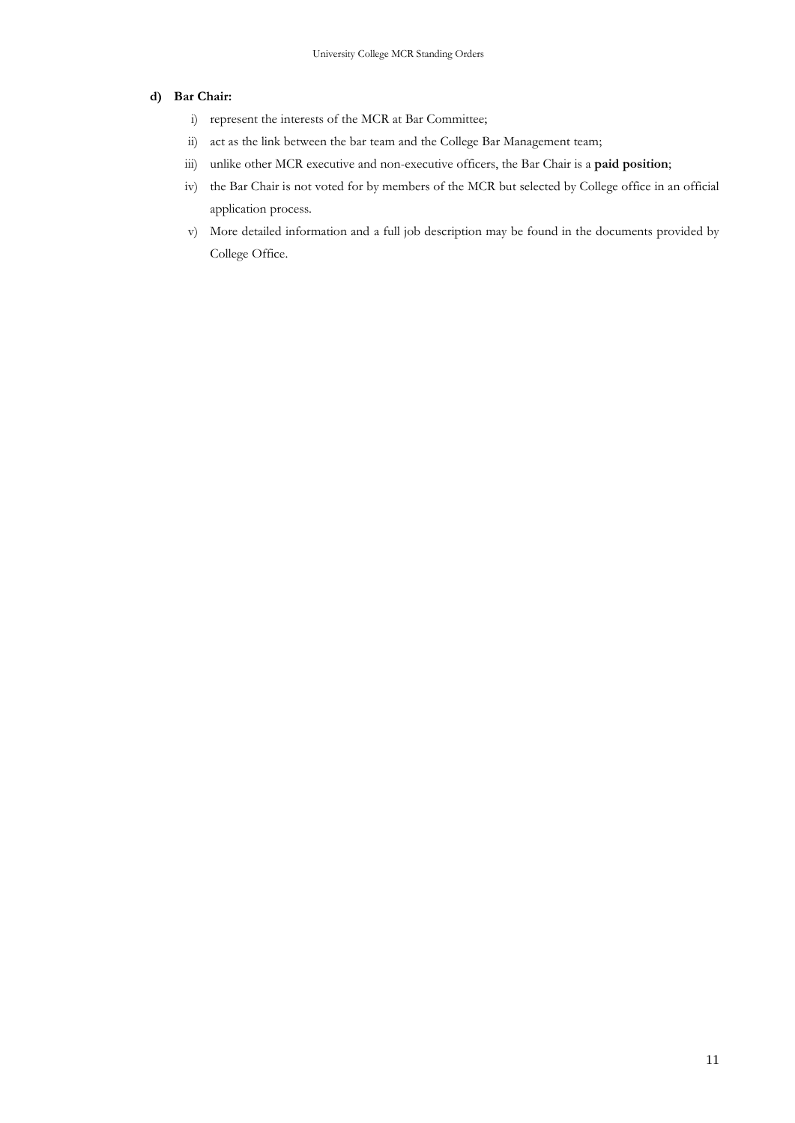#### **d) Bar Chair:**

- i) represent the interests of the MCR at Bar Committee;
- ii) act as the link between the bar team and the College Bar Management team;
- iii) unlike other MCR executive and non-executive officers, the Bar Chair is a **paid position**;
- iv) the Bar Chair is not voted for by members of the MCR but selected by College office in an official application process.
- v) More detailed information and a full job description may be found in the documents provided by College Office.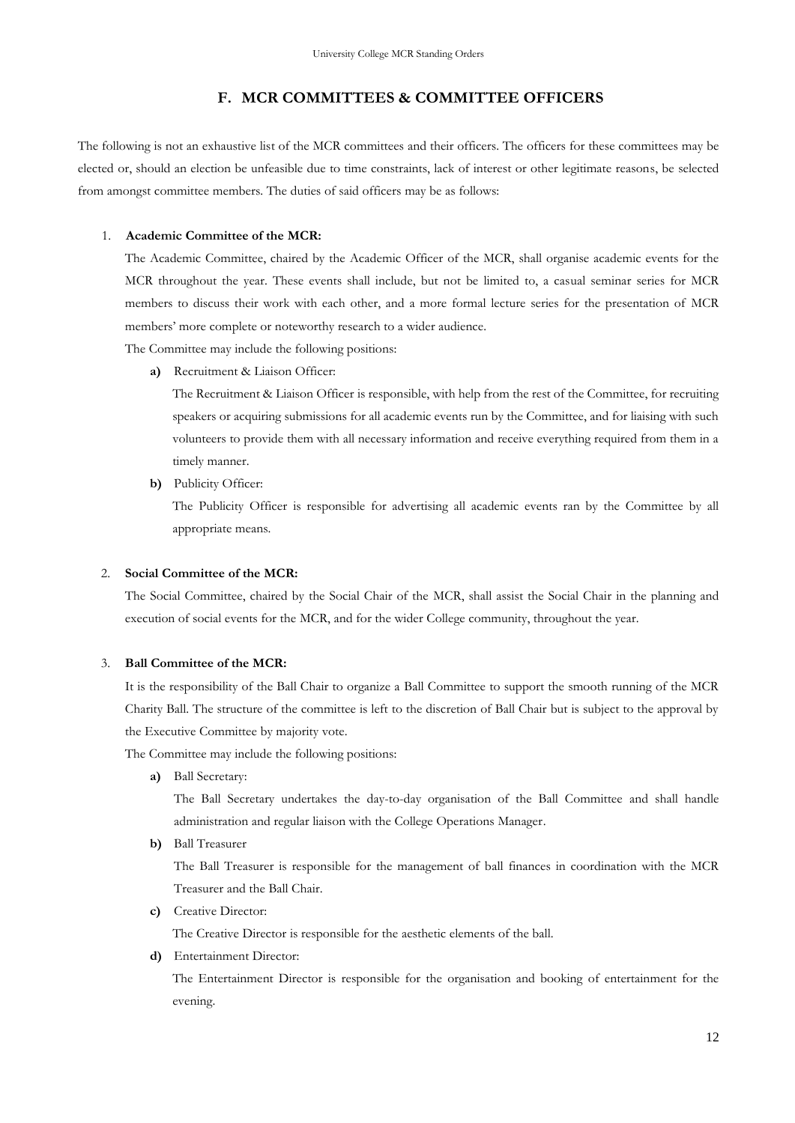## **F. MCR COMMITTEES & COMMITTEE OFFICERS**

<span id="page-15-0"></span>The following is not an exhaustive list of the MCR committees and their officers. The officers for these committees may be elected or, should an election be unfeasible due to time constraints, lack of interest or other legitimate reasons, be selected from amongst committee members. The duties of said officers may be as follows:

#### 1. **Academic Committee of the MCR:**

The Academic Committee, chaired by the Academic Officer of the MCR, shall organise academic events for the MCR throughout the year. These events shall include, but not be limited to, a casual seminar series for MCR members to discuss their work with each other, and a more formal lecture series for the presentation of MCR members' more complete or noteworthy research to a wider audience.

The Committee may include the following positions:

**a)** Recruitment & Liaison Officer:

The Recruitment & Liaison Officer is responsible, with help from the rest of the Committee, for recruiting speakers or acquiring submissions for all academic events run by the Committee, and for liaising with such volunteers to provide them with all necessary information and receive everything required from them in a timely manner.

**b)** Publicity Officer:

The Publicity Officer is responsible for advertising all academic events ran by the Committee by all appropriate means.

#### 2. **Social Committee of the MCR:**

The Social Committee, chaired by the Social Chair of the MCR, shall assist the Social Chair in the planning and execution of social events for the MCR, and for the wider College community, throughout the year.

#### 3. **Ball Committee of the MCR:**

It is the responsibility of the Ball Chair to organize a Ball Committee to support the smooth running of the MCR Charity Ball. The structure of the committee is left to the discretion of Ball Chair but is subject to the approval by the Executive Committee by majority vote.

The Committee may include the following positions:

**a)** Ball Secretary:

The Ball Secretary undertakes the day-to-day organisation of the Ball Committee and shall handle administration and regular liaison with the College Operations Manager.

**b)** Ball Treasurer

The Ball Treasurer is responsible for the management of ball finances in coordination with the MCR Treasurer and the Ball Chair.

**c)** Creative Director:

The Creative Director is responsible for the aesthetic elements of the ball.

**d)** Entertainment Director:

The Entertainment Director is responsible for the organisation and booking of entertainment for the evening.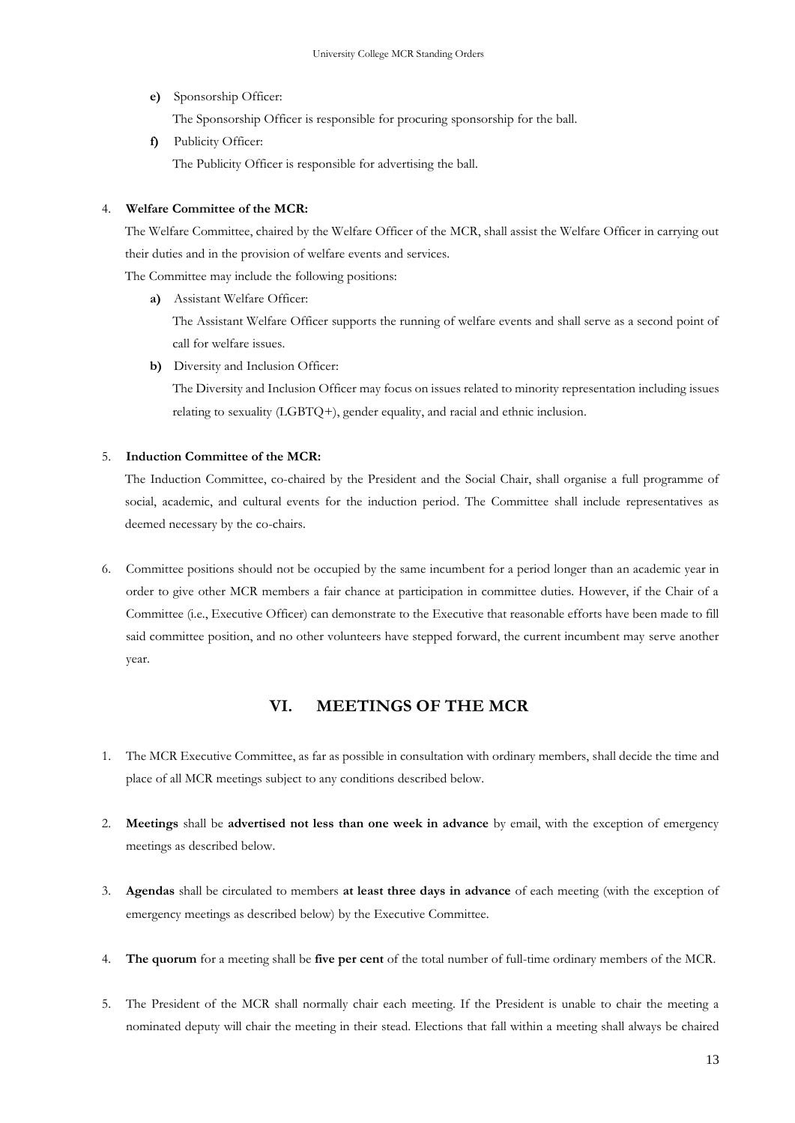**e)** Sponsorship Officer:

The Sponsorship Officer is responsible for procuring sponsorship for the ball.

**f)** Publicity Officer: The Publicity Officer is responsible for advertising the ball.

#### 4. **Welfare Committee of the MCR:**

The Welfare Committee, chaired by the Welfare Officer of the MCR, shall assist the Welfare Officer in carrying out their duties and in the provision of welfare events and services.

The Committee may include the following positions:

**a)** Assistant Welfare Officer:

The Assistant Welfare Officer supports the running of welfare events and shall serve as a second point of call for welfare issues.

**b)** Diversity and Inclusion Officer:

The Diversity and Inclusion Officer may focus on issues related to minority representation including issues relating to sexuality (LGBTQ+), gender equality, and racial and ethnic inclusion.

#### 5. **Induction Committee of the MCR:**

The Induction Committee, co-chaired by the President and the Social Chair, shall organise a full programme of social, academic, and cultural events for the induction period. The Committee shall include representatives as deemed necessary by the co-chairs.

6. Committee positions should not be occupied by the same incumbent for a period longer than an academic year in order to give other MCR members a fair chance at participation in committee duties. However, if the Chair of a Committee (i.e., Executive Officer) can demonstrate to the Executive that reasonable efforts have been made to fill said committee position, and no other volunteers have stepped forward, the current incumbent may serve another year.

## **VI. MEETINGS OF THE MCR**

- <span id="page-16-0"></span>1. The MCR Executive Committee, as far as possible in consultation with ordinary members, shall decide the time and place of all MCR meetings subject to any conditions described below.
- 2. **Meetings** shall be **advertised not less than one week in advance** by email, with the exception of emergency meetings as described below.
- 3. **Agendas** shall be circulated to members **at least three days in advance** of each meeting (with the exception of emergency meetings as described below) by the Executive Committee.
- 4. **The quorum** for a meeting shall be **five per cent** of the total number of full-time ordinary members of the MCR.
- 5. The President of the MCR shall normally chair each meeting. If the President is unable to chair the meeting a nominated deputy will chair the meeting in their stead. Elections that fall within a meeting shall always be chaired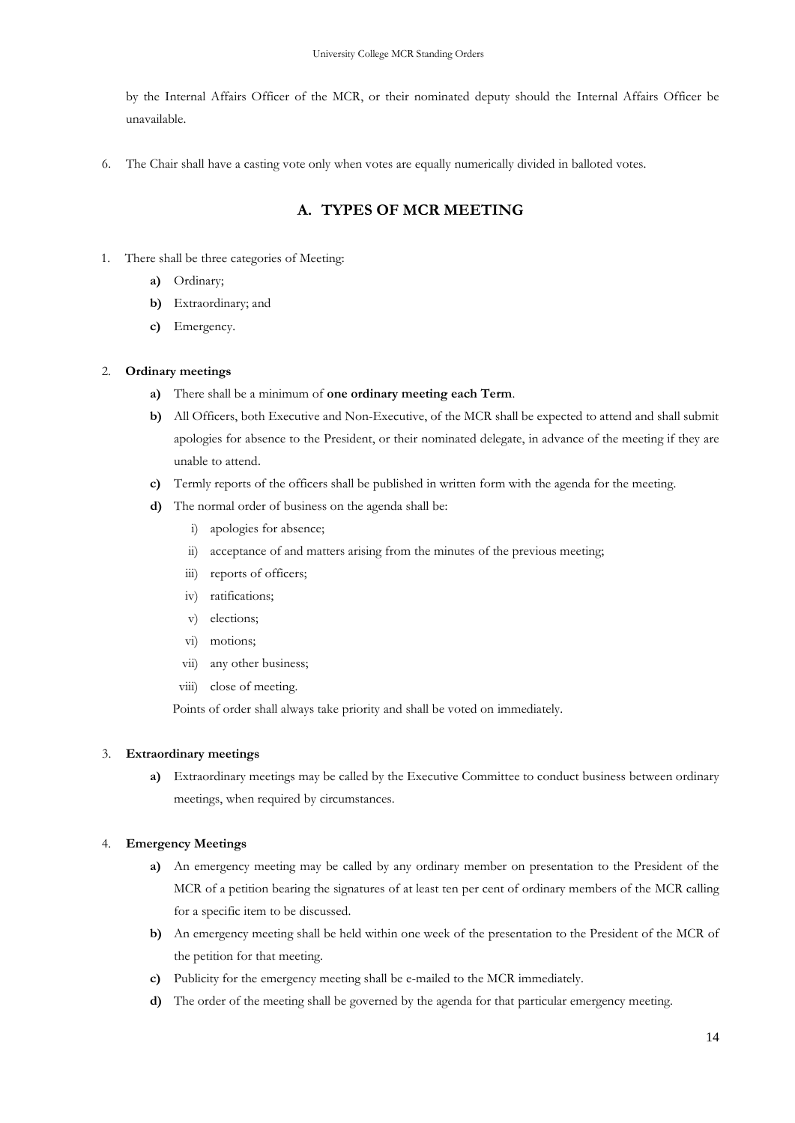by the Internal Affairs Officer of the MCR, or their nominated deputy should the Internal Affairs Officer be unavailable.

<span id="page-17-0"></span>6. The Chair shall have a casting vote only when votes are equally numerically divided in balloted votes.

## **A. TYPES OF MCR MEETING**

- 1. There shall be three categories of Meeting:
	- **a)** Ordinary;
	- **b)** Extraordinary; and
	- **c)** Emergency.

#### 2. **Ordinary meetings**

- **a)** There shall be a minimum of **one ordinary meeting each Term**.
- **b)** All Officers, both Executive and Non-Executive, of the MCR shall be expected to attend and shall submit apologies for absence to the President, or their nominated delegate, in advance of the meeting if they are unable to attend.
- **c)** Termly reports of the officers shall be published in written form with the agenda for the meeting.
- **d)** The normal order of business on the agenda shall be:
	- i) apologies for absence;
	- ii) acceptance of and matters arising from the minutes of the previous meeting;
	- iii) reports of officers;
	- iv) ratifications;
	- v) elections;
	- vi) motions;
	- vii) any other business;
	- viii) close of meeting.

Points of order shall always take priority and shall be voted on immediately.

#### 3. **Extraordinary meetings**

**a)** Extraordinary meetings may be called by the Executive Committee to conduct business between ordinary meetings, when required by circumstances.

#### 4. **Emergency Meetings**

- **a)** An emergency meeting may be called by any ordinary member on presentation to the President of the MCR of a petition bearing the signatures of at least ten per cent of ordinary members of the MCR calling for a specific item to be discussed.
- **b)** An emergency meeting shall be held within one week of the presentation to the President of the MCR of the petition for that meeting.
- **c)** Publicity for the emergency meeting shall be e-mailed to the MCR immediately.
- **d)** The order of the meeting shall be governed by the agenda for that particular emergency meeting.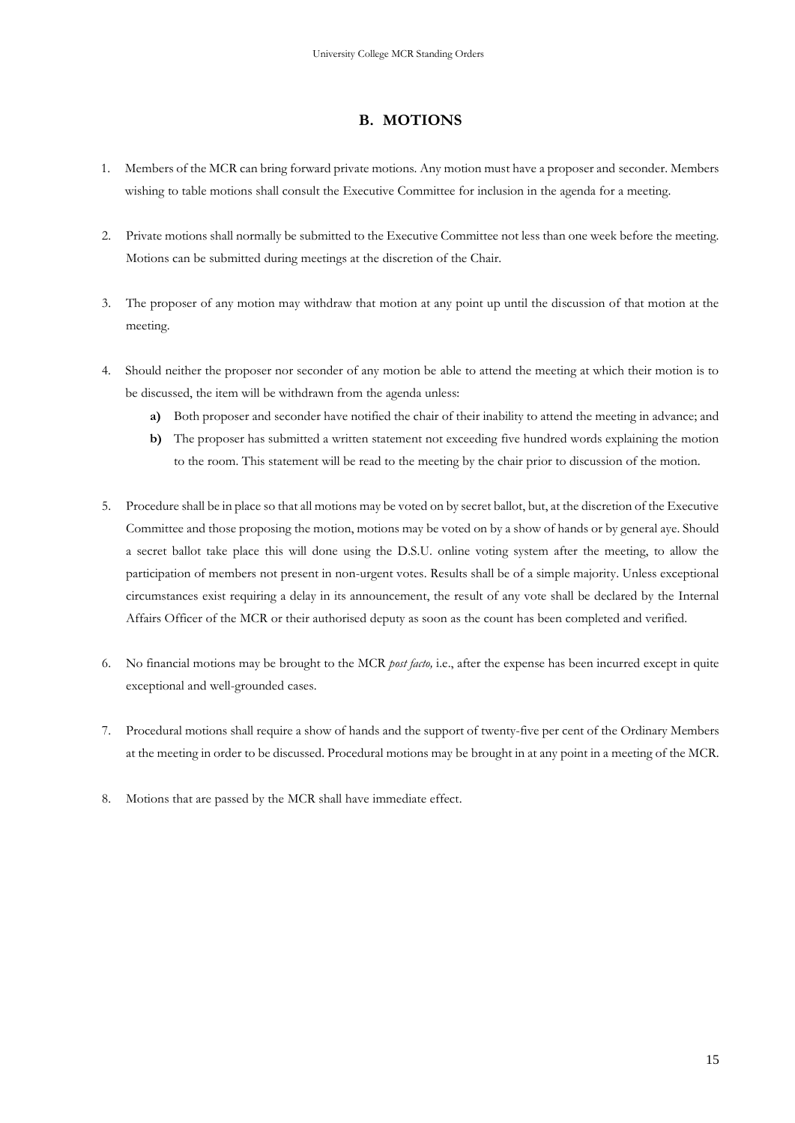## **B. MOTIONS**

- <span id="page-18-0"></span>1. Members of the MCR can bring forward private motions. Any motion must have a proposer and seconder. Members wishing to table motions shall consult the Executive Committee for inclusion in the agenda for a meeting.
- 2. Private motions shall normally be submitted to the Executive Committee not less than one week before the meeting. Motions can be submitted during meetings at the discretion of the Chair.
- 3. The proposer of any motion may withdraw that motion at any point up until the discussion of that motion at the meeting.
- 4. Should neither the proposer nor seconder of any motion be able to attend the meeting at which their motion is to be discussed, the item will be withdrawn from the agenda unless:
	- **a)** Both proposer and seconder have notified the chair of their inability to attend the meeting in advance; and
	- **b)** The proposer has submitted a written statement not exceeding five hundred words explaining the motion to the room. This statement will be read to the meeting by the chair prior to discussion of the motion.
- 5. Procedure shall be in place so that all motions may be voted on by secret ballot, but, at the discretion of the Executive Committee and those proposing the motion, motions may be voted on by a show of hands or by general aye. Should a secret ballot take place this will done using the D.S.U. online voting system after the meeting, to allow the participation of members not present in non-urgent votes. Results shall be of a simple majority. Unless exceptional circumstances exist requiring a delay in its announcement, the result of any vote shall be declared by the Internal Affairs Officer of the MCR or their authorised deputy as soon as the count has been completed and verified.
- 6. No financial motions may be brought to the MCR *post facto,* i.e., after the expense has been incurred except in quite exceptional and well-grounded cases.
- 7. Procedural motions shall require a show of hands and the support of twenty-five per cent of the Ordinary Members at the meeting in order to be discussed. Procedural motions may be brought in at any point in a meeting of the MCR.
- 8. Motions that are passed by the MCR shall have immediate effect.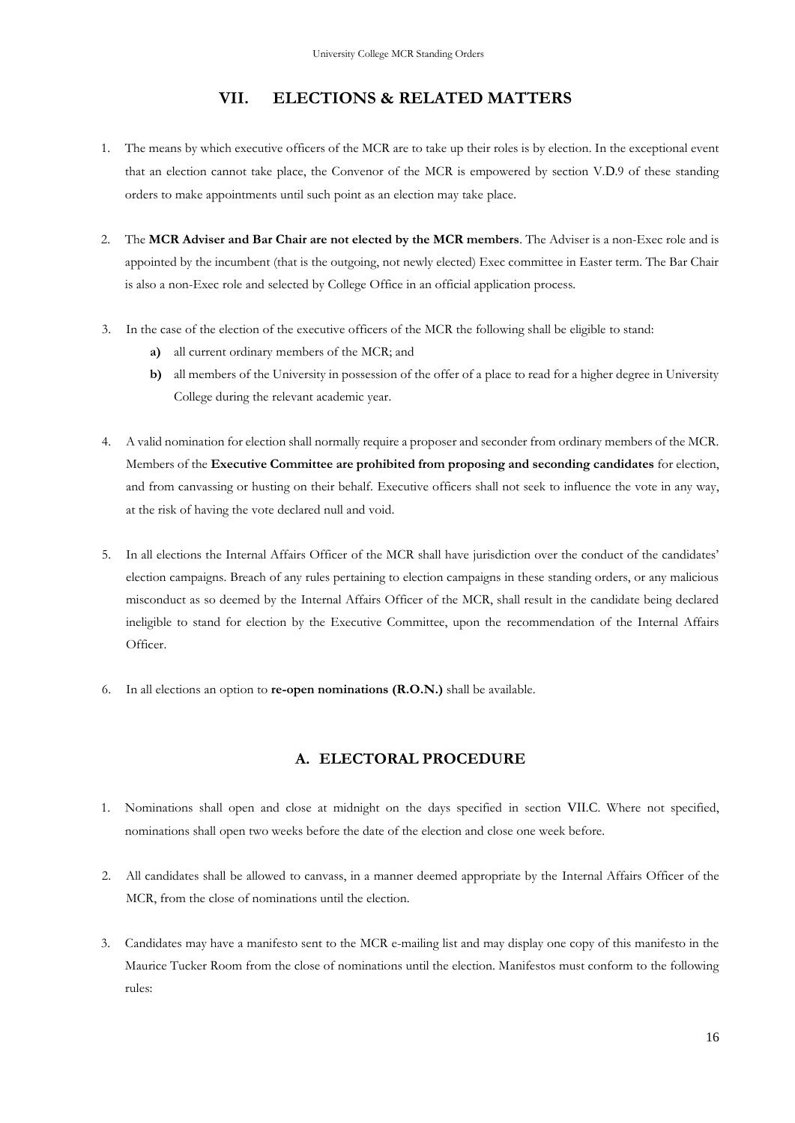## **VII. ELECTIONS & RELATED MATTERS**

- <span id="page-19-0"></span>1. The means by which executive officers of the MCR are to take up their roles is by election. In the exceptional event that an election cannot take place, the Convenor of the MCR is empowered by section [V.](#page-8-0)[D](#page-8-1).9 of these standing orders to make appointments until such point as an election may take place.
- 2. The **MCR Adviser and Bar Chair are not elected by the MCR members**. The Adviser is a non-Exec role and is appointed by the incumbent (that is the outgoing, not newly elected) Exec committee in Easter term. The Bar Chair is also a non-Exec role and selected by College Office in an official application process.
- 3. In the case of the election of the executive officers of the MCR the following shall be eligible to stand:
	- **a)** all current ordinary members of the MCR; and
	- **b)** all members of the University in possession of the offer of a place to read for a higher degree in University College during the relevant academic year.
- 4. A valid nomination for election shall normally require a proposer and seconder from ordinary members of the MCR. Members of the **Executive Committee are prohibited from proposing and seconding candidates** for election, and from canvassing or husting on their behalf. Executive officers shall not seek to influence the vote in any way, at the risk of having the vote declared null and void.
- 5. In all elections the Internal Affairs Officer of the MCR shall have jurisdiction over the conduct of the candidates' election campaigns. Breach of any rules pertaining to election campaigns in these standing orders, or any malicious misconduct as so deemed by the Internal Affairs Officer of the MCR, shall result in the candidate being declared ineligible to stand for election by the Executive Committee, upon the recommendation of the Internal Affairs Officer.
- 6. In all elections an option to **re-open nominations (R.O.N.)** shall be available.

## **A. ELECTORAL PROCEDURE**

- <span id="page-19-1"></span>1. Nominations shall open and close at midnight on the days specified in section [VII](#page-19-0).[C](#page-21-0). Where not specified, nominations shall open two weeks before the date of the election and close one week before.
- 2. All candidates shall be allowed to canvass, in a manner deemed appropriate by the Internal Affairs Officer of the MCR, from the close of nominations until the election.
- 3. Candidates may have a manifesto sent to the MCR e-mailing list and may display one copy of this manifesto in the Maurice Tucker Room from the close of nominations until the election. Manifestos must conform to the following rules: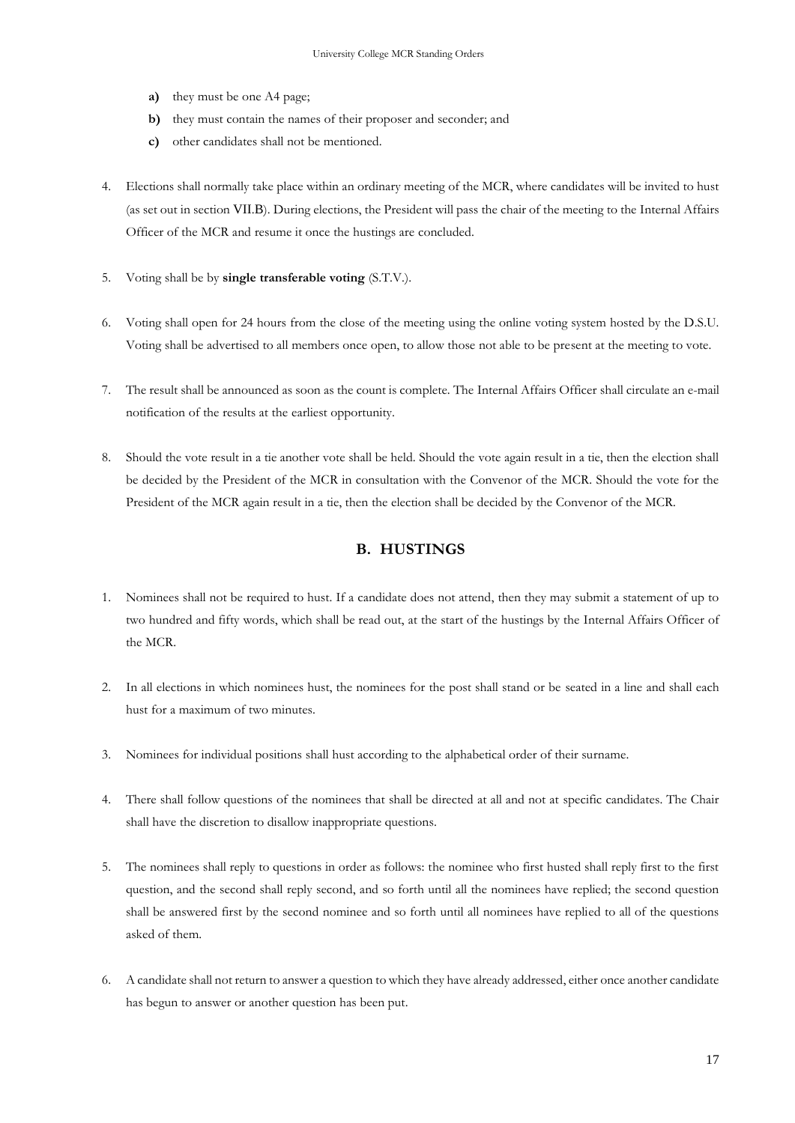- **a)** they must be one A4 page;
- **b)** they must contain the names of their proposer and seconder; and
- **c)** other candidates shall not be mentioned.
- 4. Elections shall normally take place within an ordinary meeting of the MCR, where candidates will be invited to hust (as set out in section [VII](#page-19-0).[B](#page-20-0)). During elections, the President will pass the chair of the meeting to the Internal Affairs Officer of the MCR and resume it once the hustings are concluded.
- 5. Voting shall be by **single transferable voting** (S.T.V.).
- 6. Voting shall open for 24 hours from the close of the meeting using the online voting system hosted by the D.S.U. Voting shall be advertised to all members once open, to allow those not able to be present at the meeting to vote.
- 7. The result shall be announced as soon as the count is complete. The Internal Affairs Officer shall circulate an e-mail notification of the results at the earliest opportunity.
- 8. Should the vote result in a tie another vote shall be held. Should the vote again result in a tie, then the election shall be decided by the President of the MCR in consultation with the Convenor of the MCR. Should the vote for the President of the MCR again result in a tie, then the election shall be decided by the Convenor of the MCR.

## **B. HUSTINGS**

- <span id="page-20-0"></span>1. Nominees shall not be required to hust. If a candidate does not attend, then they may submit a statement of up to two hundred and fifty words, which shall be read out, at the start of the hustings by the Internal Affairs Officer of the MCR.
- 2. In all elections in which nominees hust, the nominees for the post shall stand or be seated in a line and shall each hust for a maximum of two minutes.
- 3. Nominees for individual positions shall hust according to the alphabetical order of their surname.
- 4. There shall follow questions of the nominees that shall be directed at all and not at specific candidates. The Chair shall have the discretion to disallow inappropriate questions.
- 5. The nominees shall reply to questions in order as follows: the nominee who first husted shall reply first to the first question, and the second shall reply second, and so forth until all the nominees have replied; the second question shall be answered first by the second nominee and so forth until all nominees have replied to all of the questions asked of them.
- 6. A candidate shall not return to answer a question to which they have already addressed, either once another candidate has begun to answer or another question has been put.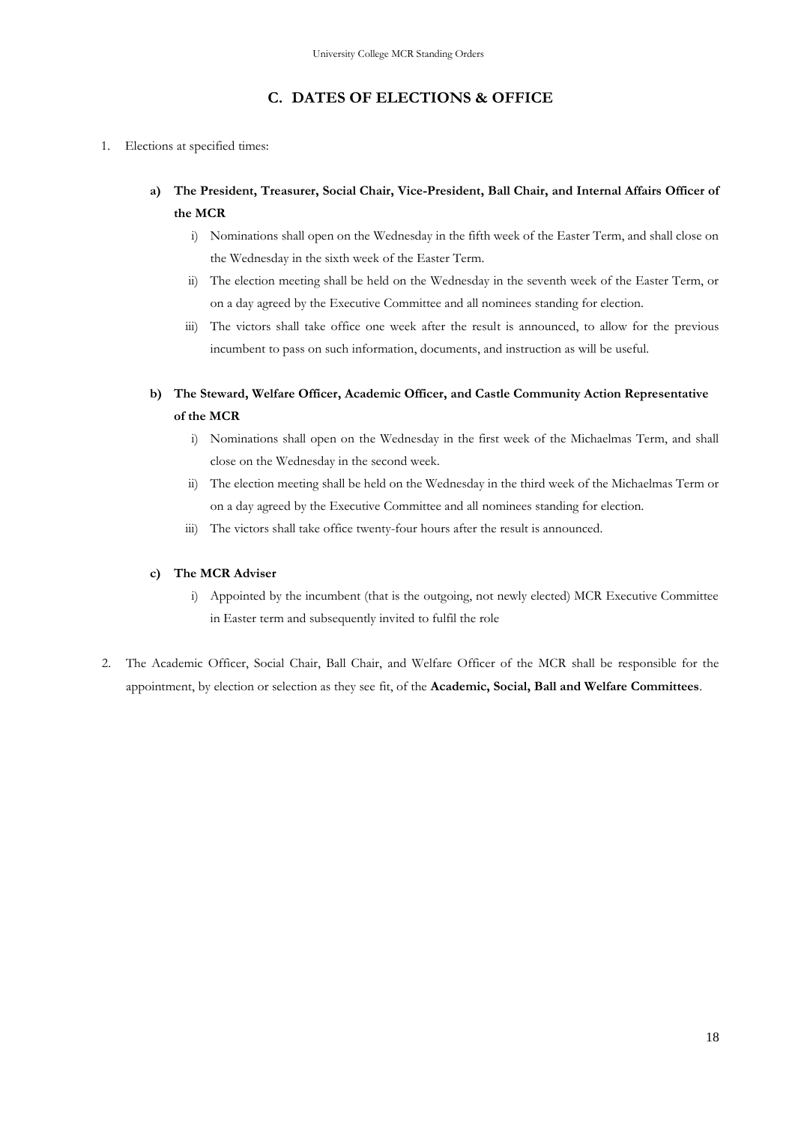## **C. DATES OF ELECTIONS & OFFICE**

- <span id="page-21-0"></span>1. Elections at specified times:
	- **a) The President, Treasurer, Social Chair, Vice-President, Ball Chair, and Internal Affairs Officer of the MCR**
		- i) Nominations shall open on the Wednesday in the fifth week of the Easter Term, and shall close on the Wednesday in the sixth week of the Easter Term.
		- ii) The election meeting shall be held on the Wednesday in the seventh week of the Easter Term, or on a day agreed by the Executive Committee and all nominees standing for election.
		- iii) The victors shall take office one week after the result is announced, to allow for the previous incumbent to pass on such information, documents, and instruction as will be useful.
	- **b) The Steward, Welfare Officer, Academic Officer, and Castle Community Action Representative of the MCR**
		- i) Nominations shall open on the Wednesday in the first week of the Michaelmas Term, and shall close on the Wednesday in the second week.
		- ii) The election meeting shall be held on the Wednesday in the third week of the Michaelmas Term or on a day agreed by the Executive Committee and all nominees standing for election.
		- iii) The victors shall take office twenty-four hours after the result is announced.

#### **c) The MCR Adviser**

- i) Appointed by the incumbent (that is the outgoing, not newly elected) MCR Executive Committee in Easter term and subsequently invited to fulfil the role
- 2. The Academic Officer, Social Chair, Ball Chair, and Welfare Officer of the MCR shall be responsible for the appointment, by election or selection as they see fit, of the **Academic, Social, Ball and Welfare Committees**.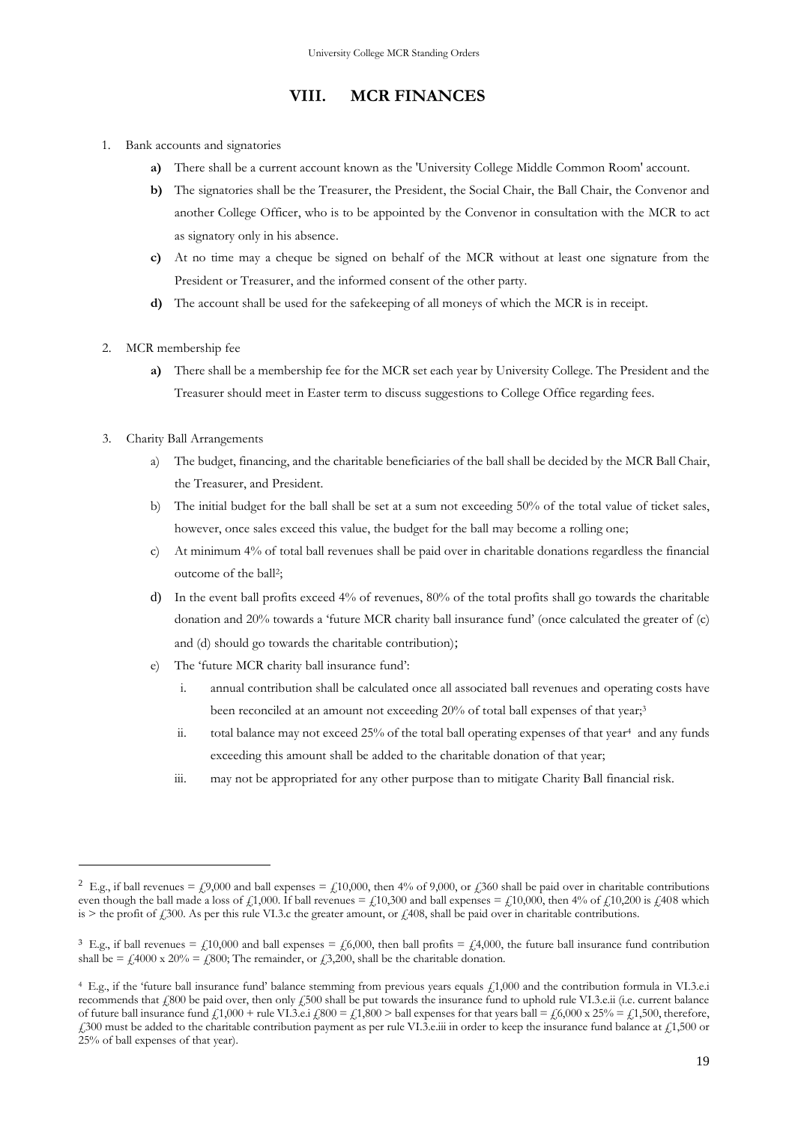## **VIII. MCR FINANCES**

- <span id="page-22-0"></span>1. Bank accounts and signatories
	- **a)** There shall be a current account known as the 'University College Middle Common Room' account.
	- **b)** The signatories shall be the Treasurer, the President, the Social Chair, the Ball Chair, the Convenor and another College Officer, who is to be appointed by the Convenor in consultation with the MCR to act as signatory only in his absence.
	- **c)** At no time may a cheque be signed on behalf of the MCR without at least one signature from the President or Treasurer, and the informed consent of the other party.
	- **d)** The account shall be used for the safekeeping of all moneys of which the MCR is in receipt.
- 2. MCR membership fee
	- **a)** There shall be a membership fee for the MCR set each year by University College. The President and the Treasurer should meet in Easter term to discuss suggestions to College Office regarding fees.
- 3. Charity Ball Arrangements
	- a) The budget, financing, and the charitable beneficiaries of the ball shall be decided by the MCR Ball Chair, the Treasurer, and President.
	- b) The initial budget for the ball shall be set at a sum not exceeding 50% of the total value of ticket sales, however, once sales exceed this value, the budget for the ball may become a rolling one;
	- c) At minimum 4% of total ball revenues shall be paid over in charitable donations regardless the financial outcome of the ball<sup>2</sup> ;
	- d) In the event ball profits exceed 4% of revenues, 80% of the total profits shall go towards the charitable donation and 20% towards a 'future MCR charity ball insurance fund' (once calculated the greater of (c) and (d) should go towards the charitable contribution);
	- e) The 'future MCR charity ball insurance fund':
		- i. annual contribution shall be calculated once all associated ball revenues and operating costs have been reconciled at an amount not exceeding 20% of total ball expenses of that year;<sup>3</sup>
		- ii. total balance may not exceed 25% of the total ball operating expenses of that year<sup>4</sup> and any funds exceeding this amount shall be added to the charitable donation of that year;
		- iii. may not be appropriated for any other purpose than to mitigate Charity Ball financial risk.

<sup>&</sup>lt;sup>2</sup> E.g., if ball revenues = £9,000 and ball expenses = £10,000, then 4% of 9,000, or £360 shall be paid over in charitable contributions even though the ball made a loss of £1,000. If ball revenues = £10,300 and ball expenses = £10,000, then 4% of £10,200 is £408 which is > the profit of  $\frac{1}{200}$ . As per this rule VI.3.c the greater amount, or  $\frac{1}{408}$ , shall be paid over in charitable contributions.

<sup>&</sup>lt;sup>3</sup> E.g., if ball revenues = £10,000 and ball expenses = £6,000, then ball profits = £4,000, the future ball insurance fund contribution shall be =  $\text{\textsterling}4000 \text{ x } 20\% = \text{\textsterling}800$ ; The remainder, or  $\text{\textsterling}3,200$ , shall be the charitable donation.

<sup>4</sup> E.g., if the 'future ball insurance fund' balance stemming from previous years equals £1,000 and the contribution formula in VI.3.e.i recommends that  $\ell$ 800 be paid over, then only  $\ell$ 500 shall be put towards the insurance fund to uphold rule VI.3.e.ii (i.e. current balance of future ball insurance fund  $\zeta$ 1,000 + rule VI.3.e.i  $\zeta$ 800 =  $\zeta$ 1,800 > ball expenses for that years ball =  $\zeta$ 6,000 x 25% =  $\zeta$ 1,500, therefore,  $£300$  must be added to the charitable contribution payment as per rule VI.3.e.iii in order to keep the insurance fund balance at  $£1,500$  or 25% of ball expenses of that year).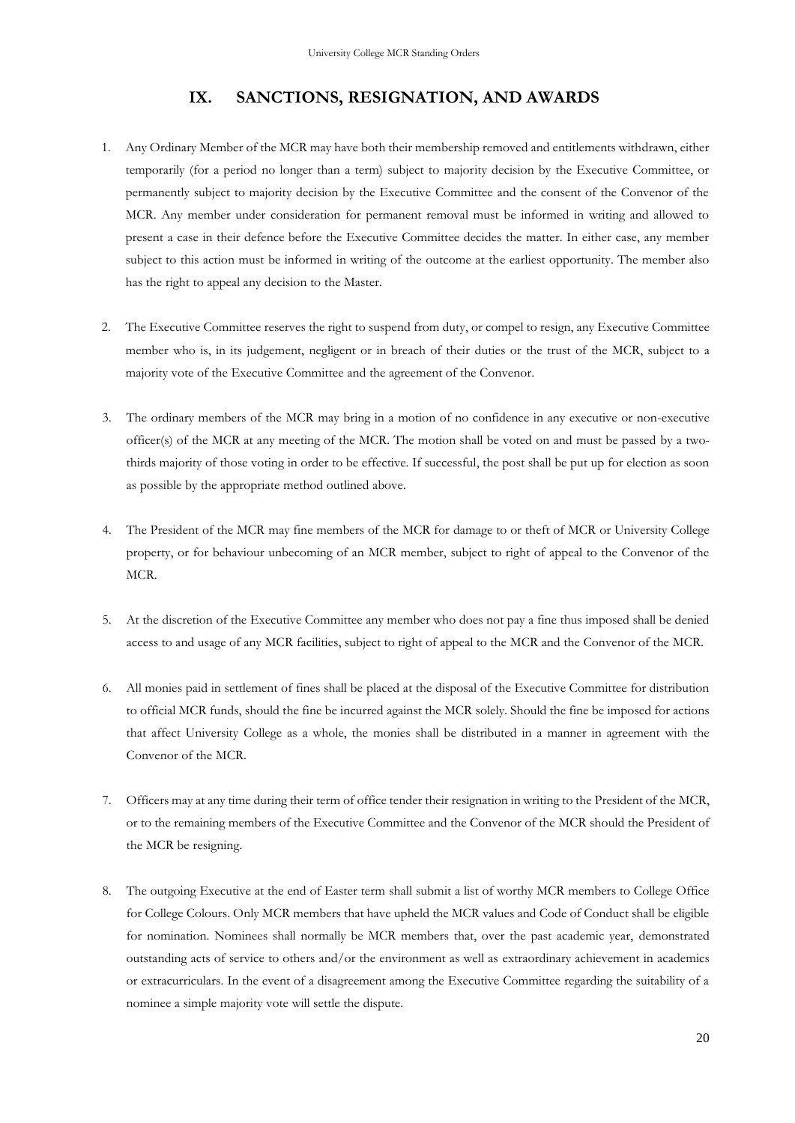## **IX. SANCTIONS, RESIGNATION, AND AWARDS**

- <span id="page-23-0"></span>1. Any Ordinary Member of the MCR may have both their membership removed and entitlements withdrawn, either temporarily (for a period no longer than a term) subject to majority decision by the Executive Committee, or permanently subject to majority decision by the Executive Committee and the consent of the Convenor of the MCR. Any member under consideration for permanent removal must be informed in writing and allowed to present a case in their defence before the Executive Committee decides the matter. In either case, any member subject to this action must be informed in writing of the outcome at the earliest opportunity. The member also has the right to appeal any decision to the Master.
- 2. The Executive Committee reserves the right to suspend from duty, or compel to resign, any Executive Committee member who is, in its judgement, negligent or in breach of their duties or the trust of the MCR, subject to a majority vote of the Executive Committee and the agreement of the Convenor.
- 3. The ordinary members of the MCR may bring in a motion of no confidence in any executive or non-executive officer(s) of the MCR at any meeting of the MCR. The motion shall be voted on and must be passed by a twothirds majority of those voting in order to be effective. If successful, the post shall be put up for election as soon as possible by the appropriate method outlined above.
- 4. The President of the MCR may fine members of the MCR for damage to or theft of MCR or University College property, or for behaviour unbecoming of an MCR member, subject to right of appeal to the Convenor of the MCR.
- 5. At the discretion of the Executive Committee any member who does not pay a fine thus imposed shall be denied access to and usage of any MCR facilities, subject to right of appeal to the MCR and the Convenor of the MCR.
- 6. All monies paid in settlement of fines shall be placed at the disposal of the Executive Committee for distribution to official MCR funds, should the fine be incurred against the MCR solely. Should the fine be imposed for actions that affect University College as a whole, the monies shall be distributed in a manner in agreement with the Convenor of the MCR.
- 7. Officers may at any time during their term of office tender their resignation in writing to the President of the MCR, or to the remaining members of the Executive Committee and the Convenor of the MCR should the President of the MCR be resigning.
- 8. The outgoing Executive at the end of Easter term shall submit a list of worthy MCR members to College Office for College Colours. Only MCR members that have upheld the MCR values and Code of Conduct shall be eligible for nomination. Nominees shall normally be MCR members that, over the past academic year, demonstrated outstanding acts of service to others and/or the environment as well as extraordinary achievement in academics or extracurriculars. In the event of a disagreement among the Executive Committee regarding the suitability of a nominee a simple majority vote will settle the dispute.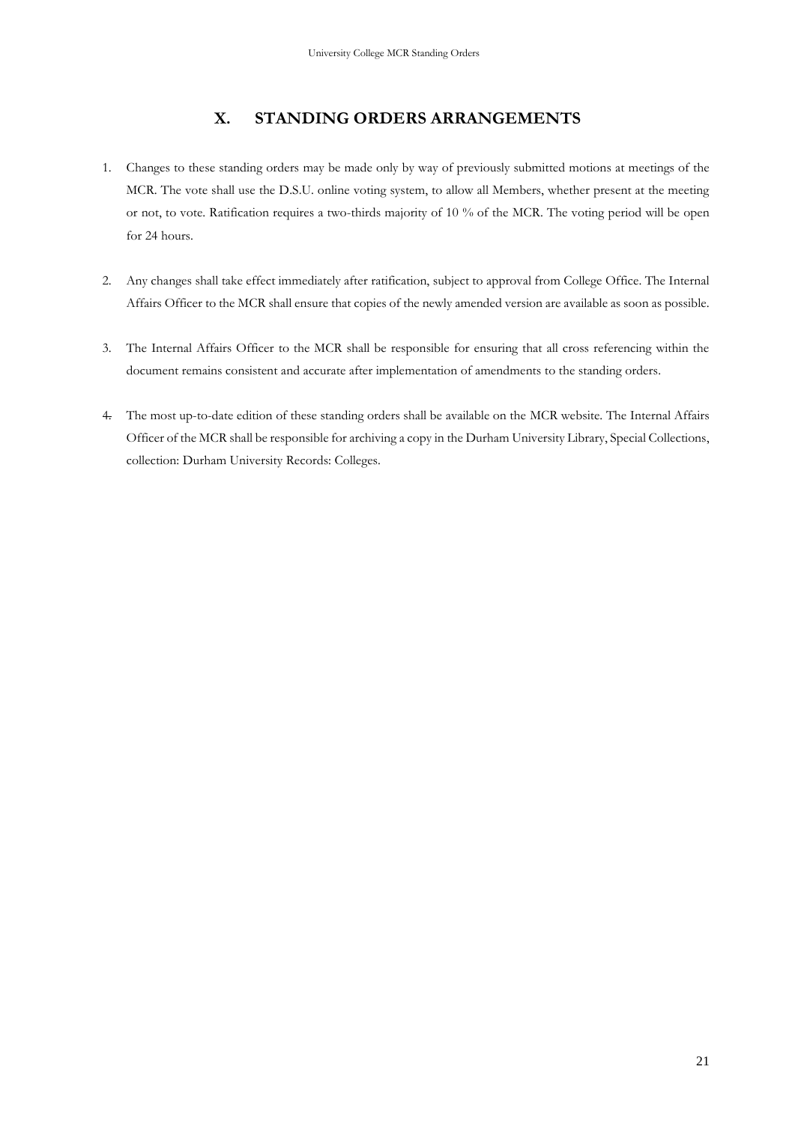# **X. STANDING ORDERS ARRANGEMENTS**

- <span id="page-24-0"></span>1. Changes to these standing orders may be made only by way of previously submitted motions at meetings of the MCR. The vote shall use the D.S.U. online voting system, to allow all Members, whether present at the meeting or not, to vote. Ratification requires a two-thirds majority of 10 % of the MCR. The voting period will be open for 24 hours.
- 2. Any changes shall take effect immediately after ratification, subject to approval from College Office. The Internal Affairs Officer to the MCR shall ensure that copies of the newly amended version are available as soon as possible.
- 3. The Internal Affairs Officer to the MCR shall be responsible for ensuring that all cross referencing within the document remains consistent and accurate after implementation of amendments to the standing orders.
- 4. The most up-to-date edition of these standing orders shall be available on the MCR website. The Internal Affairs Officer of the MCR shall be responsible for archiving a copy in the Durham University Library, Special Collections, collection: Durham University Records: Colleges.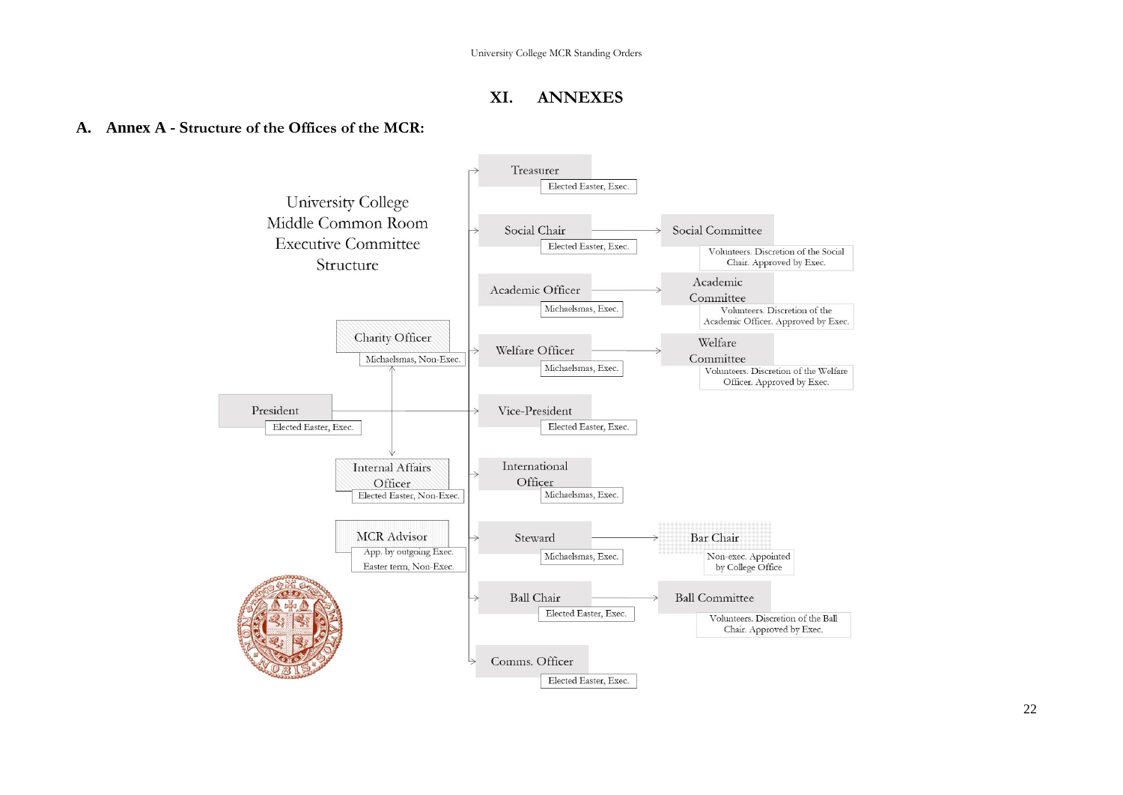## **XI. ANNEXES**

## <span id="page-25-1"></span><span id="page-25-0"></span>**A. Annex A - Structure of the Offices of the MCR:**